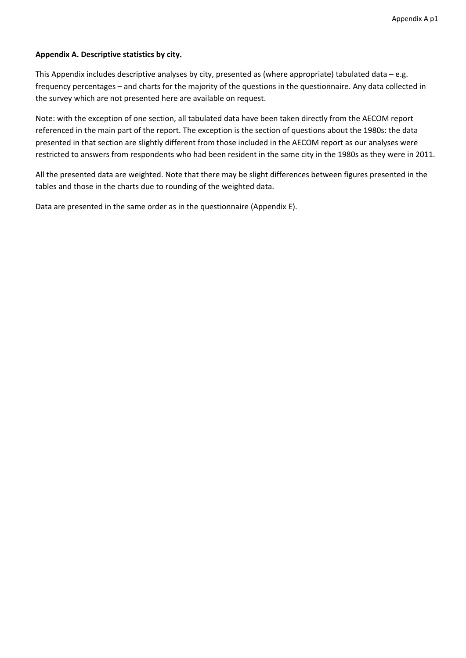#### **Appendix A. Descriptive statistics by city.**

This Appendix includes descriptive analyses by city, presented as (where appropriate) tabulated data – e.g. frequency percentages – and charts for the majority of the questions in the questionnaire. Any data collected in the survey which are not presented here are available on request.

Note: with the exception of one section, all tabulated data have been taken directly from the AECOM report referenced in the main part of the report. The exception is the section of questions about the 1980s: the data presented in that section are slightly different from those included in the AECOM report as our analyses were restricted to answers from respondents who had been resident in the same city in the 1980s as they were in 2011.

All the presented data are weighted. Note that there may be slight differences between figures presented in the tables and those in the charts due to rounding of the weighted data.

Data are presented in the same order as in the questionnaire (Appendix E).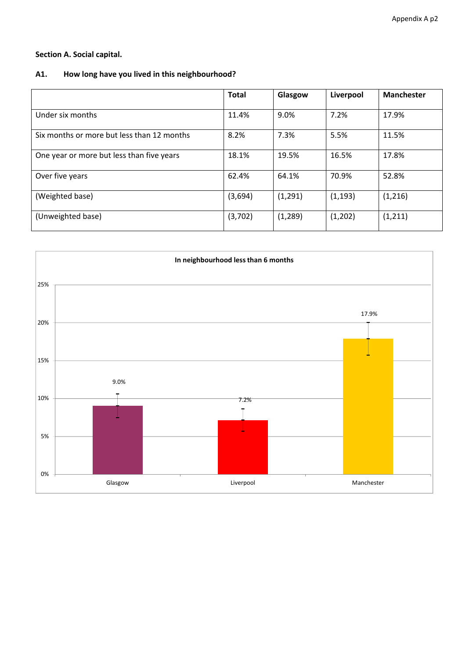## **Section A. Social capital.**

## **A1. How long have you lived in this neighbourhood?**

|                                            | <b>Total</b> | Glasgow  | Liverpool | <b>Manchester</b> |
|--------------------------------------------|--------------|----------|-----------|-------------------|
| Under six months                           | 11.4%        | 9.0%     | 7.2%      | 17.9%             |
| Six months or more but less than 12 months | 8.2%         | 7.3%     | 5.5%      | 11.5%             |
| One year or more but less than five years  | 18.1%        | 19.5%    | 16.5%     | 17.8%             |
| Over five years                            | 62.4%        | 64.1%    | 70.9%     | 52.8%             |
| (Weighted base)                            | (3,694)      | (1, 291) | (1, 193)  | (1, 216)          |
| (Unweighted base)                          | (3,702)      | (1, 289) | (1,202)   | (1, 211)          |

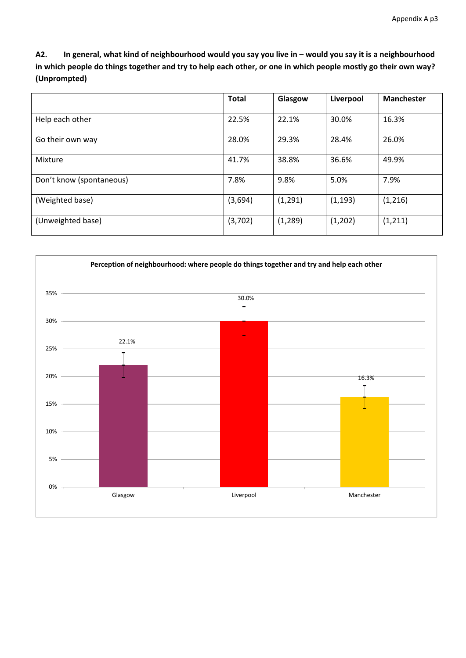A2. In general, what kind of neighbourhood would you say you live in - would you say it is a neighbourhood in which people do things together and try to help each other, or one in which people mostly go their own way? **(Unprompted)**

|                          | <b>Total</b> | Glasgow  | Liverpool | <b>Manchester</b> |
|--------------------------|--------------|----------|-----------|-------------------|
| Help each other          | 22.5%        | 22.1%    | 30.0%     | 16.3%             |
| Go their own way         | 28.0%        | 29.3%    | 28.4%     | 26.0%             |
| Mixture                  | 41.7%        | 38.8%    | 36.6%     | 49.9%             |
| Don't know (spontaneous) | 7.8%         | 9.8%     | 5.0%      | 7.9%              |
| (Weighted base)          | (3,694)      | (1,291)  | (1, 193)  | (1,216)           |
| (Unweighted base)        | (3,702)      | (1, 289) | (1,202)   | (1, 211)          |

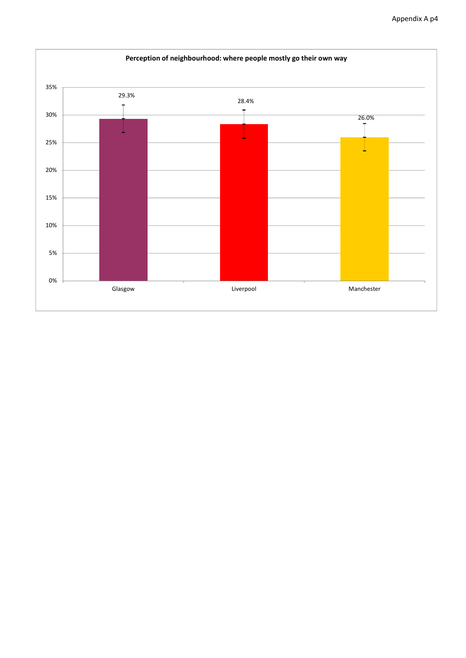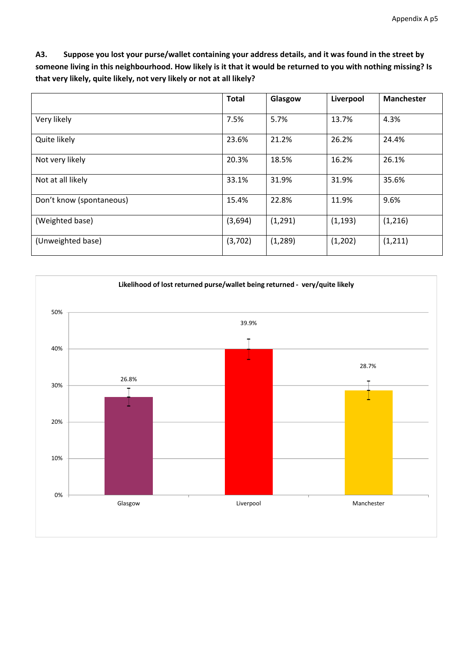A3. Suppose you lost your purse/wallet containing your address details, and it was found in the street by someone living in this neighbourhood. How likely is it that it would be returned to you with nothing missing? Is **that very likely, quite likely, not very likely or not at all likely?**

|                          | <b>Total</b> | Glasgow  | Liverpool | <b>Manchester</b> |
|--------------------------|--------------|----------|-----------|-------------------|
| Very likely              | 7.5%         | 5.7%     | 13.7%     | 4.3%              |
| Quite likely             | 23.6%        | 21.2%    | 26.2%     | 24.4%             |
| Not very likely          | 20.3%        | 18.5%    | 16.2%     | 26.1%             |
| Not at all likely        | 33.1%        | 31.9%    | 31.9%     | 35.6%             |
| Don't know (spontaneous) | 15.4%        | 22.8%    | 11.9%     | 9.6%              |
| (Weighted base)          | (3,694)      | (1, 291) | (1, 193)  | (1,216)           |
| (Unweighted base)        | (3,702)      | (1, 289) | (1,202)   | (1, 211)          |

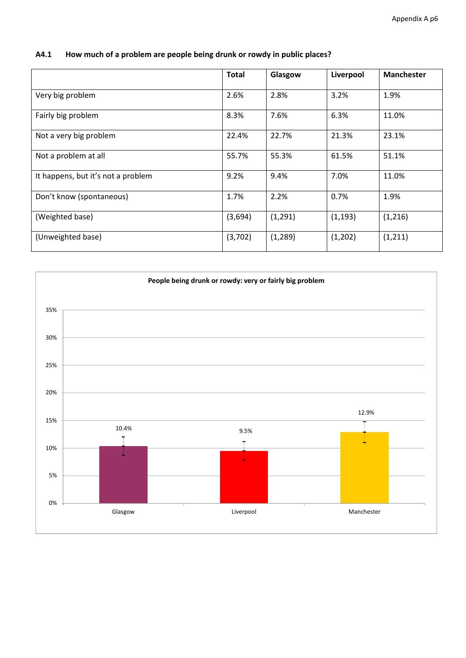|                                    | <b>Total</b> | Glasgow  | Liverpool | <b>Manchester</b> |
|------------------------------------|--------------|----------|-----------|-------------------|
| Very big problem                   | 2.6%         | 2.8%     | 3.2%      | 1.9%              |
| Fairly big problem                 | 8.3%         | 7.6%     | 6.3%      | 11.0%             |
| Not a very big problem             | 22.4%        | 22.7%    | 21.3%     | 23.1%             |
| Not a problem at all               | 55.7%        | 55.3%    | 61.5%     | 51.1%             |
| It happens, but it's not a problem | 9.2%         | 9.4%     | 7.0%      | 11.0%             |
| Don't know (spontaneous)           | 1.7%         | 2.2%     | 0.7%      | 1.9%              |
| (Weighted base)                    | (3,694)      | (1, 291) | (1, 193)  | (1,216)           |
| (Unweighted base)                  | (3,702)      | (1, 289) | (1,202)   | (1, 211)          |

## **A4.1 How much of a problem are people being drunk or rowdy in public places?**

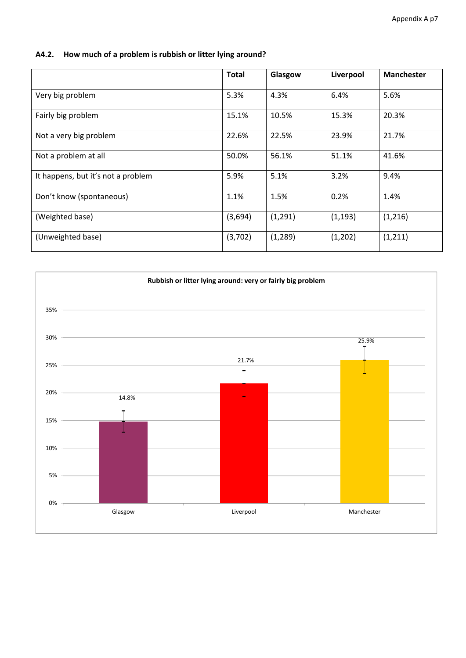## **A4.2. How much of a problem is rubbish or litter lying around?**

|                                    | <b>Total</b> | Glasgow  | Liverpool | <b>Manchester</b> |
|------------------------------------|--------------|----------|-----------|-------------------|
| Very big problem                   | 5.3%         | 4.3%     | 6.4%      | 5.6%              |
| Fairly big problem                 | 15.1%        | 10.5%    | 15.3%     | 20.3%             |
| Not a very big problem             | 22.6%        | 22.5%    | 23.9%     | 21.7%             |
| Not a problem at all               | 50.0%        | 56.1%    | 51.1%     | 41.6%             |
| It happens, but it's not a problem | 5.9%         | 5.1%     | 3.2%      | 9.4%              |
| Don't know (spontaneous)           | 1.1%         | 1.5%     | 0.2%      | 1.4%              |
| (Weighted base)                    | (3,694)      | (1, 291) | (1, 193)  | (1,216)           |
| (Unweighted base)                  | (3,702)      | (1, 289) | (1,202)   | (1, 211)          |

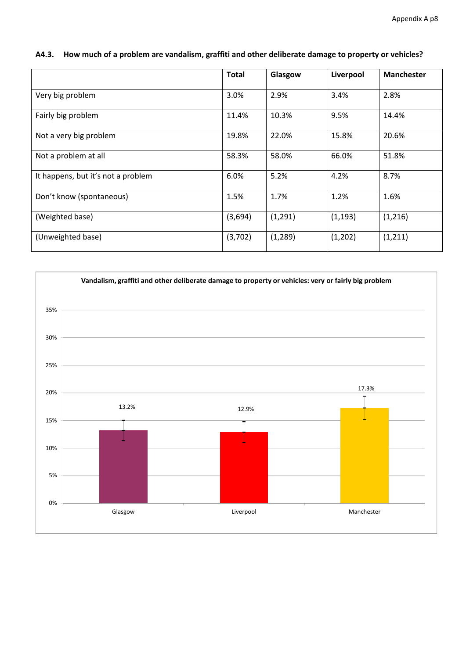|                                    | <b>Total</b> | Glasgow  | Liverpool | <b>Manchester</b> |
|------------------------------------|--------------|----------|-----------|-------------------|
| Very big problem                   | 3.0%         | 2.9%     | 3.4%      | 2.8%              |
| Fairly big problem                 | 11.4%        | 10.3%    | 9.5%      | 14.4%             |
| Not a very big problem             | 19.8%        | 22.0%    | 15.8%     | 20.6%             |
| Not a problem at all               | 58.3%        | 58.0%    | 66.0%     | 51.8%             |
| It happens, but it's not a problem | 6.0%         | 5.2%     | 4.2%      | 8.7%              |
| Don't know (spontaneous)           | 1.5%         | 1.7%     | 1.2%      | 1.6%              |
| (Weighted base)                    | (3,694)      | (1,291)  | (1, 193)  | (1,216)           |
| (Unweighted base)                  | (3,702)      | (1, 289) | (1,202)   | (1, 211)          |

#### **A4.3. How much of a problem are vandalism, graffiti and other deliberate damage to property or vehicles?**

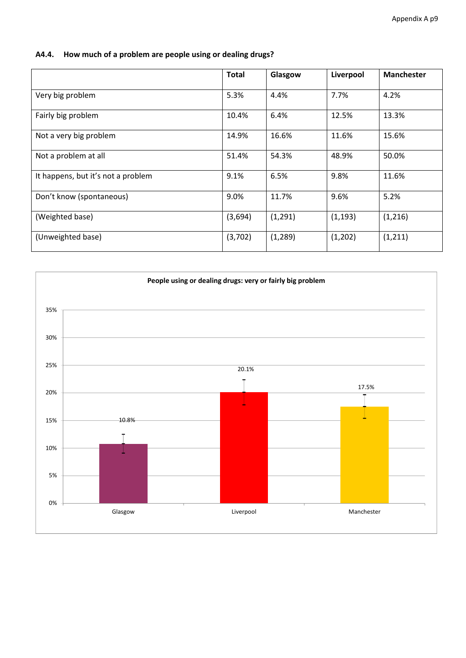| A4.4. How much of a problem are people using or dealing drugs? |  |
|----------------------------------------------------------------|--|
|                                                                |  |

|                                    | <b>Total</b> | Glasgow  | Liverpool | <b>Manchester</b> |
|------------------------------------|--------------|----------|-----------|-------------------|
| Very big problem                   | 5.3%         | 4.4%     | 7.7%      | 4.2%              |
| Fairly big problem                 | 10.4%        | 6.4%     | 12.5%     | 13.3%             |
| Not a very big problem             | 14.9%        | 16.6%    | 11.6%     | 15.6%             |
| Not a problem at all               | 51.4%        | 54.3%    | 48.9%     | 50.0%             |
| It happens, but it's not a problem | 9.1%         | 6.5%     | 9.8%      | 11.6%             |
| Don't know (spontaneous)           | 9.0%         | 11.7%    | 9.6%      | 5.2%              |
| (Weighted base)                    | (3,694)      | (1, 291) | (1, 193)  | (1,216)           |
| (Unweighted base)                  | (3,702)      | (1, 289) | (1,202)   | (1, 211)          |

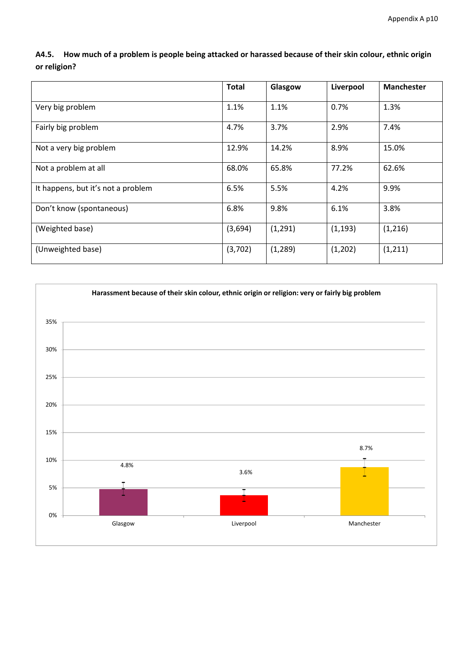A4.5. How much of a problem is people being attacked or harassed because of their skin colour, ethnic origin **or religion?**

|                                    | <b>Total</b> | Glasgow  | Liverpool | <b>Manchester</b> |
|------------------------------------|--------------|----------|-----------|-------------------|
| Very big problem                   | 1.1%         | 1.1%     | 0.7%      | 1.3%              |
| Fairly big problem                 | 4.7%         | 3.7%     | 2.9%      | 7.4%              |
| Not a very big problem             | 12.9%        | 14.2%    | 8.9%      | 15.0%             |
| Not a problem at all               | 68.0%        | 65.8%    | 77.2%     | 62.6%             |
| It happens, but it's not a problem | 6.5%         | 5.5%     | 4.2%      | 9.9%              |
| Don't know (spontaneous)           | 6.8%         | 9.8%     | 6.1%      | 3.8%              |
| (Weighted base)                    | (3,694)      | (1, 291) | (1, 193)  | (1,216)           |
| (Unweighted base)                  | (3,702)      | (1, 289) | (1,202)   | (1, 211)          |

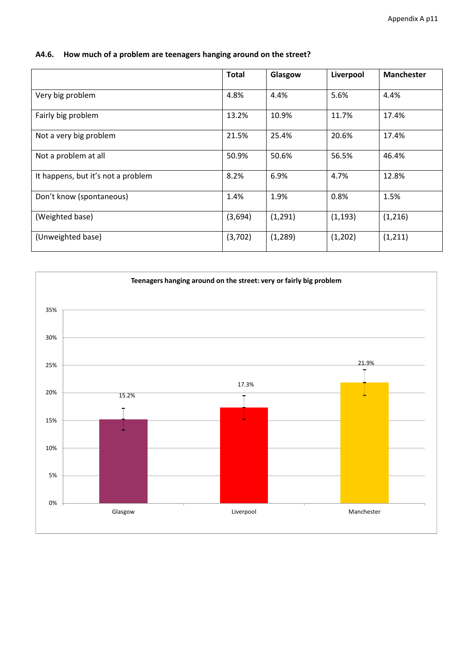|                                    | <b>Total</b> | Glasgow  | Liverpool | <b>Manchester</b> |
|------------------------------------|--------------|----------|-----------|-------------------|
| Very big problem                   | 4.8%         | 4.4%     | 5.6%      | 4.4%              |
| Fairly big problem                 | 13.2%        | 10.9%    | 11.7%     | 17.4%             |
| Not a very big problem             | 21.5%        | 25.4%    | 20.6%     | 17.4%             |
| Not a problem at all               | 50.9%        | 50.6%    | 56.5%     | 46.4%             |
| It happens, but it's not a problem | 8.2%         | 6.9%     | 4.7%      | 12.8%             |
| Don't know (spontaneous)           | 1.4%         | 1.9%     | 0.8%      | 1.5%              |
| (Weighted base)                    | (3,694)      | (1, 291) | (1, 193)  | (1,216)           |
| (Unweighted base)                  | (3,702)      | (1, 289) | (1,202)   | (1, 211)          |

#### **A4.6. How much of a problem are teenagers hanging around on the street?**

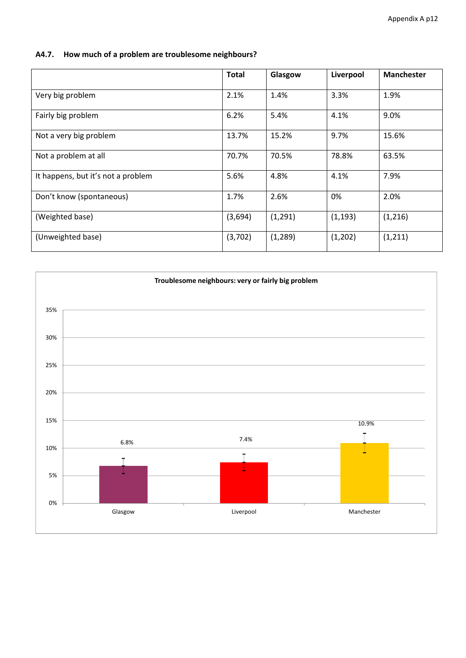## **A4.7. How much of a problem are troublesome neighbours?**

|                                    | <b>Total</b> | Glasgow  | Liverpool | <b>Manchester</b> |
|------------------------------------|--------------|----------|-----------|-------------------|
| Very big problem                   | 2.1%         | 1.4%     | 3.3%      | 1.9%              |
| Fairly big problem                 | 6.2%         | 5.4%     | 4.1%      | 9.0%              |
| Not a very big problem             | 13.7%        | 15.2%    | 9.7%      | 15.6%             |
| Not a problem at all               | 70.7%        | 70.5%    | 78.8%     | 63.5%             |
| It happens, but it's not a problem | 5.6%         | 4.8%     | 4.1%      | 7.9%              |
| Don't know (spontaneous)           | 1.7%         | 2.6%     | 0%        | 2.0%              |
| (Weighted base)                    | (3,694)      | (1, 291) | (1, 193)  | (1,216)           |
| (Unweighted base)                  | (3,702)      | (1, 289) | (1,202)   | (1, 211)          |

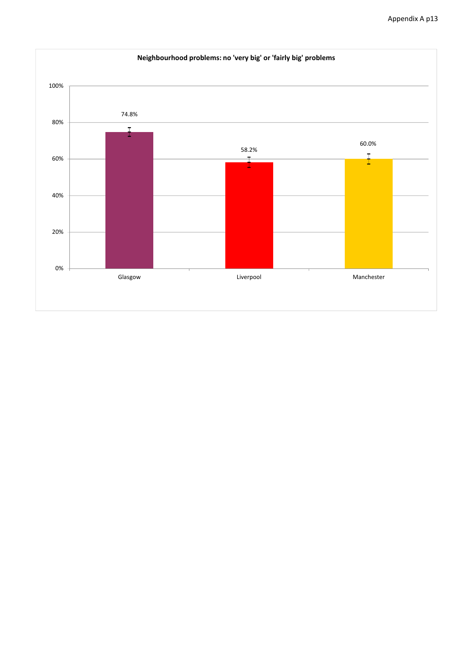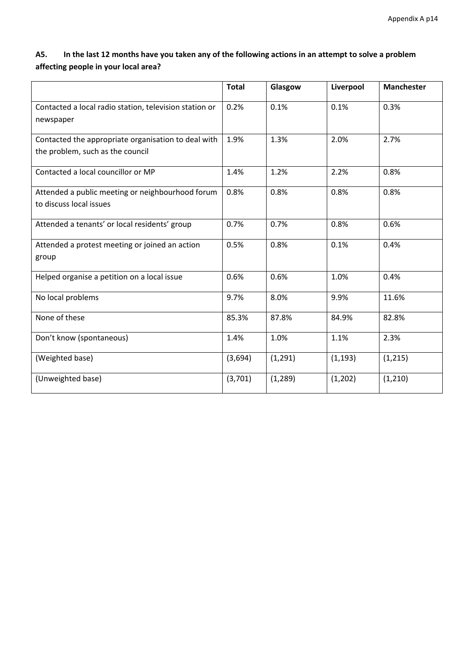## A5. In the last 12 months have you taken any of the following actions in an attempt to solve a problem **affecting people in your local area?**

|                                                                                         | <b>Total</b> | Glasgow  | Liverpool | <b>Manchester</b> |
|-----------------------------------------------------------------------------------------|--------------|----------|-----------|-------------------|
| Contacted a local radio station, television station or<br>newspaper                     | 0.2%         | 0.1%     | 0.1%      | 0.3%              |
| Contacted the appropriate organisation to deal with<br>the problem, such as the council | 1.9%         | 1.3%     | 2.0%      | 2.7%              |
| Contacted a local councillor or MP                                                      | 1.4%         | 1.2%     | 2.2%      | 0.8%              |
| Attended a public meeting or neighbourhood forum<br>to discuss local issues             | 0.8%         | 0.8%     | 0.8%      | 0.8%              |
| Attended a tenants' or local residents' group                                           | 0.7%         | 0.7%     | 0.8%      | 0.6%              |
| Attended a protest meeting or joined an action<br>group                                 | 0.5%         | 0.8%     | 0.1%      | 0.4%              |
| Helped organise a petition on a local issue                                             | 0.6%         | 0.6%     | 1.0%      | 0.4%              |
| No local problems                                                                       | 9.7%         | 8.0%     | 9.9%      | 11.6%             |
| None of these                                                                           | 85.3%        | 87.8%    | 84.9%     | 82.8%             |
| Don't know (spontaneous)                                                                | 1.4%         | 1.0%     | 1.1%      | 2.3%              |
| (Weighted base)                                                                         | (3,694)      | (1,291)  | (1, 193)  | (1, 215)          |
| (Unweighted base)                                                                       | (3,701)      | (1, 289) | (1,202)   | (1, 210)          |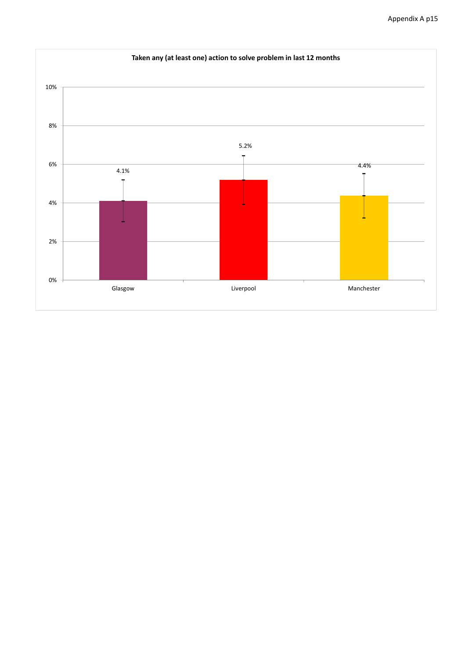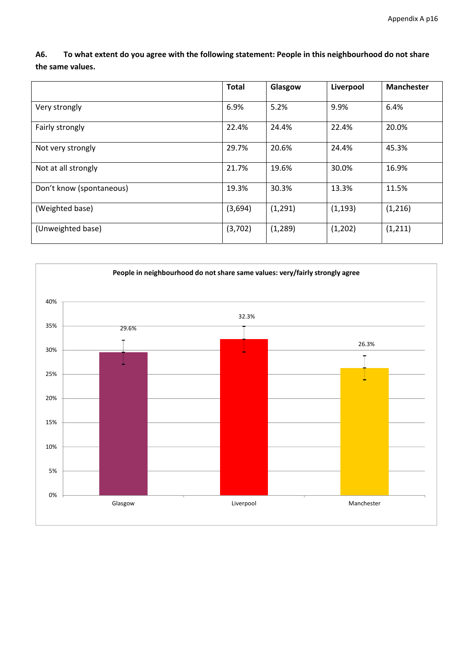A6. To what extent do you agree with the following statement: People in this neighbourhood do not share **the same values.**

|                          | <b>Total</b> | Glasgow  | Liverpool | <b>Manchester</b> |
|--------------------------|--------------|----------|-----------|-------------------|
| Very strongly            | 6.9%         | 5.2%     | 9.9%      | 6.4%              |
| Fairly strongly          | 22.4%        | 24.4%    | 22.4%     | 20.0%             |
| Not very strongly        | 29.7%        | 20.6%    | 24.4%     | 45.3%             |
| Not at all strongly      | 21.7%        | 19.6%    | 30.0%     | 16.9%             |
| Don't know (spontaneous) | 19.3%        | 30.3%    | 13.3%     | 11.5%             |
| (Weighted base)          | (3,694)      | (1, 291) | (1, 193)  | (1,216)           |
| (Unweighted base)        | (3,702)      | (1, 289) | (1,202)   | (1, 211)          |

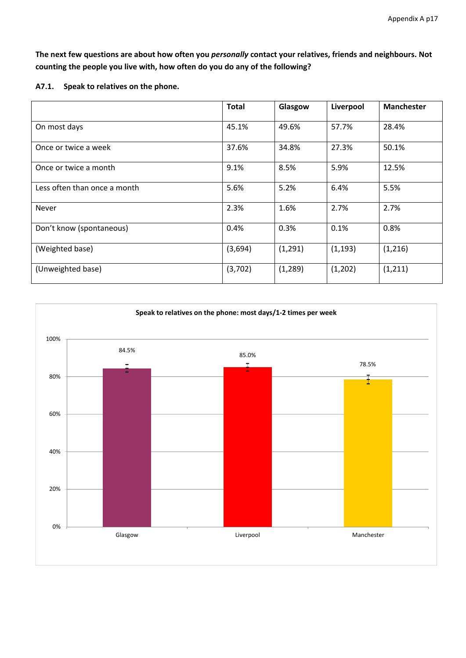The next few questions are about how often you personally contact your relatives, friends and neighbours. Not **counting the people you live with, how often do you do any of the following?**

**A7.1. Speak to relatives on the phone.**

|                              | <b>Total</b> | Glasgow  | Liverpool | <b>Manchester</b> |
|------------------------------|--------------|----------|-----------|-------------------|
| On most days                 | 45.1%        | 49.6%    | 57.7%     | 28.4%             |
| Once or twice a week         | 37.6%        | 34.8%    | 27.3%     | 50.1%             |
| Once or twice a month        | 9.1%         | 8.5%     | 5.9%      | 12.5%             |
| Less often than once a month | 5.6%         | 5.2%     | 6.4%      | 5.5%              |
| <b>Never</b>                 | 2.3%         | 1.6%     | 2.7%      | 2.7%              |
| Don't know (spontaneous)     | 0.4%         | 0.3%     | 0.1%      | 0.8%              |
| (Weighted base)              | (3,694)      | (1, 291) | (1, 193)  | (1,216)           |
| (Unweighted base)            | (3,702)      | (1, 289) | (1,202)   | (1, 211)          |

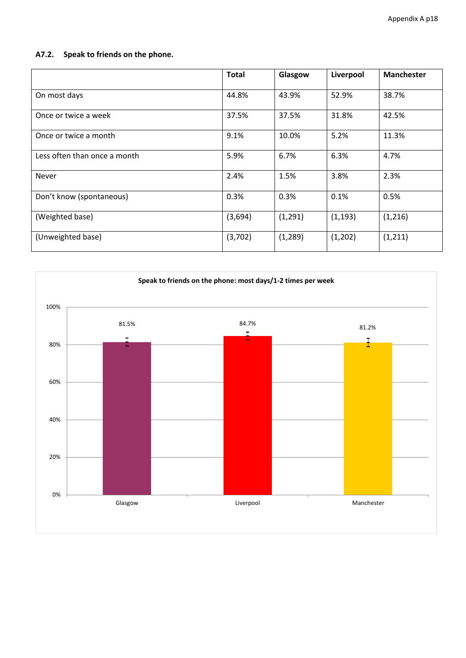## **A7.2. Speak to friends on the phone.**

|                              | <b>Total</b> | Glasgow  | Liverpool | <b>Manchester</b> |
|------------------------------|--------------|----------|-----------|-------------------|
| On most days                 | 44.8%        | 43.9%    | 52.9%     | 38.7%             |
| Once or twice a week         | 37.5%        | 37.5%    | 31.8%     | 42.5%             |
| Once or twice a month        | 9.1%         | 10.0%    | 5.2%      | 11.3%             |
| Less often than once a month | 5.9%         | 6.7%     | 6.3%      | 4.7%              |
| Never                        | 2.4%         | 1.5%     | 3.8%      | 2.3%              |
| Don't know (spontaneous)     | 0.3%         | 0.3%     | 0.1%      | 0.5%              |
| (Weighted base)              | (3,694)      | (1, 291) | (1, 193)  | (1,216)           |
| (Unweighted base)            | (3,702)      | (1, 289) | (1,202)   | (1, 211)          |

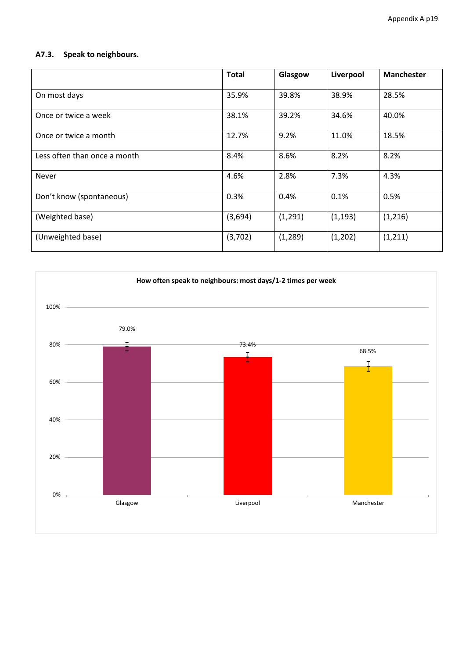# **A7.3. Speak to neighbours.**

|                              | <b>Total</b> | Glasgow  | Liverpool | <b>Manchester</b> |
|------------------------------|--------------|----------|-----------|-------------------|
| On most days                 | 35.9%        | 39.8%    | 38.9%     | 28.5%             |
| Once or twice a week         | 38.1%        | 39.2%    | 34.6%     | 40.0%             |
| Once or twice a month        | 12.7%        | 9.2%     | 11.0%     | 18.5%             |
| Less often than once a month | 8.4%         | 8.6%     | 8.2%      | 8.2%              |
| Never                        | 4.6%         | 2.8%     | 7.3%      | 4.3%              |
| Don't know (spontaneous)     | 0.3%         | 0.4%     | 0.1%      | 0.5%              |
| (Weighted base)              | (3,694)      | (1, 291) | (1, 193)  | (1,216)           |
| (Unweighted base)            | (3,702)      | (1, 289) | (1,202)   | (1, 211)          |

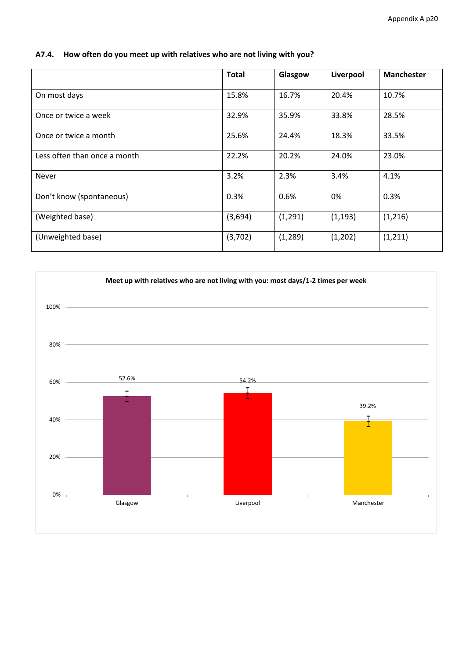|                              | <b>Total</b> | Glasgow  | Liverpool | <b>Manchester</b> |
|------------------------------|--------------|----------|-----------|-------------------|
| On most days                 | 15.8%        | 16.7%    | 20.4%     | 10.7%             |
| Once or twice a week         | 32.9%        | 35.9%    | 33.8%     | 28.5%             |
| Once or twice a month        | 25.6%        | 24.4%    | 18.3%     | 33.5%             |
| Less often than once a month | 22.2%        | 20.2%    | 24.0%     | 23.0%             |
| <b>Never</b>                 | 3.2%         | 2.3%     | 3.4%      | 4.1%              |
| Don't know (spontaneous)     | 0.3%         | 0.6%     | 0%        | 0.3%              |
| (Weighted base)              | (3,694)      | (1, 291) | (1, 193)  | (1,216)           |
| (Unweighted base)            | (3,702)      | (1, 289) | (1,202)   | (1, 211)          |

#### **A7.4. How often do you meet up with relatives who are not living with you?**

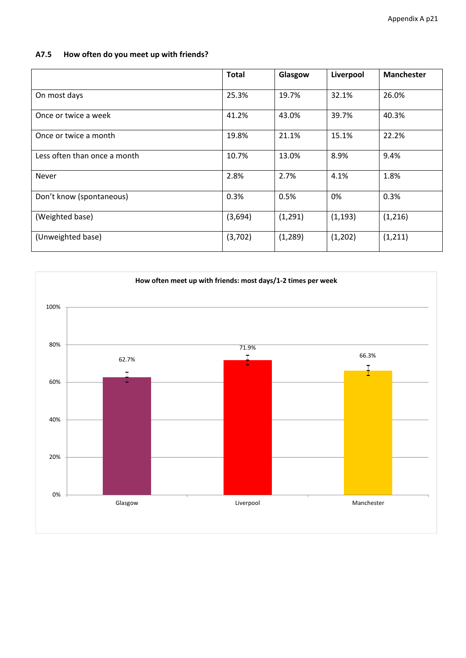## **A7.5 How often do you meet up with friends?**

|                              | <b>Total</b> | Glasgow  | Liverpool | <b>Manchester</b> |
|------------------------------|--------------|----------|-----------|-------------------|
| On most days                 | 25.3%        | 19.7%    | 32.1%     | 26.0%             |
| Once or twice a week         | 41.2%        | 43.0%    | 39.7%     | 40.3%             |
| Once or twice a month        | 19.8%        | 21.1%    | 15.1%     | 22.2%             |
| Less often than once a month | 10.7%        | 13.0%    | 8.9%      | 9.4%              |
| Never                        | 2.8%         | 2.7%     | 4.1%      | 1.8%              |
| Don't know (spontaneous)     | 0.3%         | 0.5%     | 0%        | 0.3%              |
| (Weighted base)              | (3,694)      | (1, 291) | (1, 193)  | (1,216)           |
| (Unweighted base)            | (3,702)      | (1, 289) | (1,202)   | (1, 211)          |

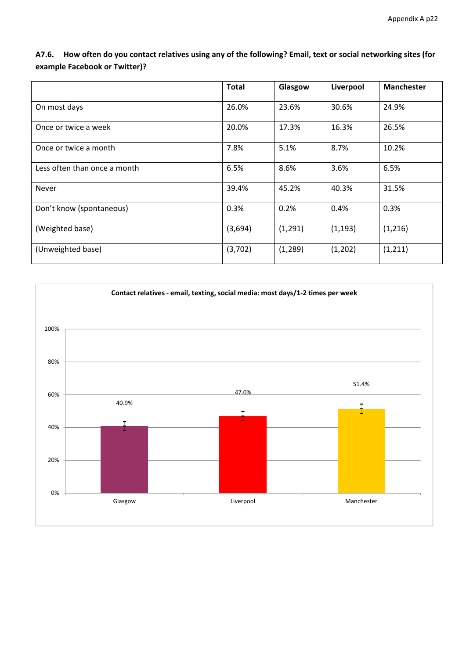|                              | <b>Total</b> | Glasgow  | Liverpool | <b>Manchester</b> |
|------------------------------|--------------|----------|-----------|-------------------|
|                              |              |          |           |                   |
| On most days                 | 26.0%        | 23.6%    | 30.6%     | 24.9%             |
| Once or twice a week         | 20.0%        | 17.3%    | 16.3%     | 26.5%             |
| Once or twice a month        | 7.8%         | 5.1%     | 8.7%      | 10.2%             |
| Less often than once a month | 6.5%         | 8.6%     | 3.6%      | 6.5%              |
| <b>Never</b>                 | 39.4%        | 45.2%    | 40.3%     | 31.5%             |
| Don't know (spontaneous)     | 0.3%         | 0.2%     | 0.4%      | 0.3%              |
| (Weighted base)              | (3,694)      | (1, 291) | (1, 193)  | (1,216)           |
| (Unweighted base)            | (3,702)      | (1, 289) | (1,202)   | (1, 211)          |

A7.6. How often do you contact relatives using any of the following? Email, text or social networking sites (for **example Facebook or Twitter)?**

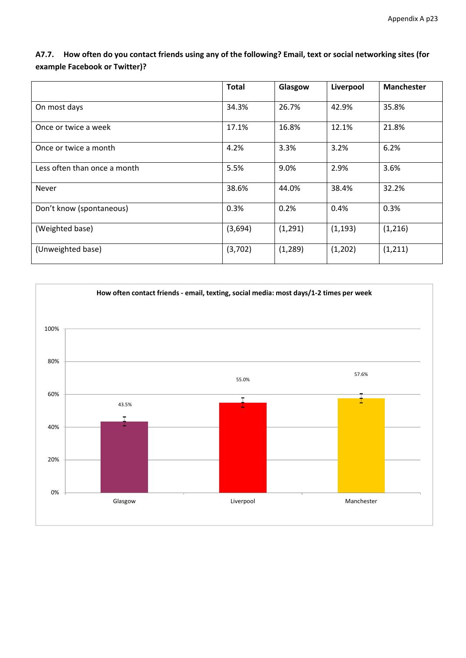|                              | <b>Total</b> | Glasgow  | Liverpool | <b>Manchester</b> |
|------------------------------|--------------|----------|-----------|-------------------|
| On most days                 | 34.3%        | 26.7%    | 42.9%     | 35.8%             |
| Once or twice a week         | 17.1%        | 16.8%    | 12.1%     | 21.8%             |
| Once or twice a month        | 4.2%         | 3.3%     | 3.2%      | 6.2%              |
| Less often than once a month | 5.5%         | 9.0%     | 2.9%      | 3.6%              |
| Never                        | 38.6%        | 44.0%    | 38.4%     | 32.2%             |
| Don't know (spontaneous)     | 0.3%         | 0.2%     | 0.4%      | 0.3%              |
| (Weighted base)              | (3,694)      | (1, 291) | (1, 193)  | (1, 216)          |
| (Unweighted base)            | (3,702)      | (1, 289) | (1,202)   | (1, 211)          |

A7.7. How often do you contact friends using any of the following? Email, text or social networking sites (for **example Facebook or Twitter)?**

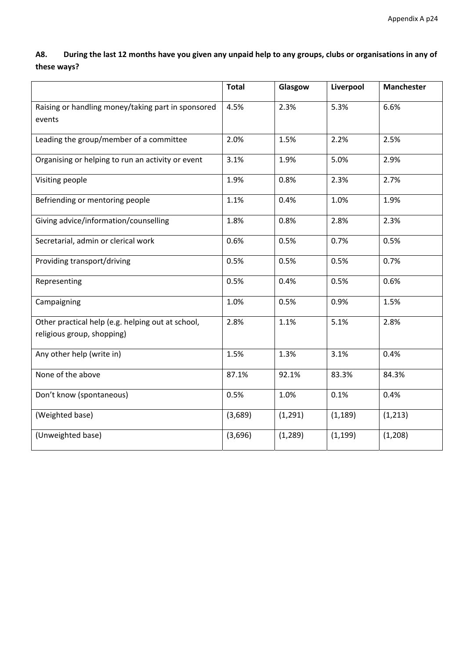A8. During the last 12 months have you given any unpaid help to any groups, clubs or organisations in any of **these ways?**

|                                                                                 | <b>Total</b> | Glasgow  | Liverpool | Manchester |
|---------------------------------------------------------------------------------|--------------|----------|-----------|------------|
| Raising or handling money/taking part in sponsored<br>events                    | 4.5%         | 2.3%     | 5.3%      | 6.6%       |
| Leading the group/member of a committee                                         | 2.0%         | 1.5%     | 2.2%      | 2.5%       |
| Organising or helping to run an activity or event                               | 3.1%         | 1.9%     | 5.0%      | 2.9%       |
| Visiting people                                                                 | 1.9%         | 0.8%     | 2.3%      | 2.7%       |
| Befriending or mentoring people                                                 | 1.1%         | 0.4%     | 1.0%      | 1.9%       |
| Giving advice/information/counselling                                           | 1.8%         | 0.8%     | 2.8%      | 2.3%       |
| Secretarial, admin or clerical work                                             | 0.6%         | 0.5%     | 0.7%      | 0.5%       |
| Providing transport/driving                                                     | 0.5%         | 0.5%     | 0.5%      | 0.7%       |
| Representing                                                                    | 0.5%         | 0.4%     | 0.5%      | 0.6%       |
| Campaigning                                                                     | 1.0%         | 0.5%     | 0.9%      | 1.5%       |
| Other practical help (e.g. helping out at school,<br>religious group, shopping) | 2.8%         | 1.1%     | 5.1%      | 2.8%       |
| Any other help (write in)                                                       | 1.5%         | 1.3%     | 3.1%      | 0.4%       |
| None of the above                                                               | 87.1%        | 92.1%    | 83.3%     | 84.3%      |
| Don't know (spontaneous)                                                        | 0.5%         | 1.0%     | 0.1%      | 0.4%       |
| (Weighted base)                                                                 | (3,689)      | (1, 291) | (1, 189)  | (1, 213)   |
| (Unweighted base)                                                               | (3,696)      | (1, 289) | (1, 199)  | (1, 208)   |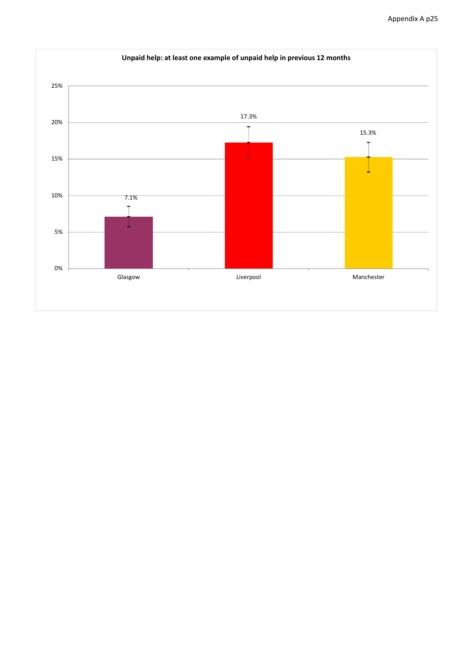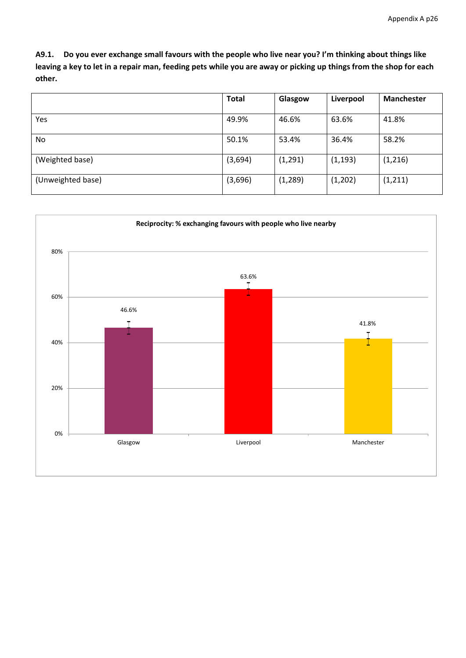A9.1. Do you ever exchange small favours with the people who live near you? I'm thinking about things like leaving a key to let in a repair man, feeding pets while you are away or picking up things from the shop for each **other.**

|                   | <b>Total</b> | Glasgow  | Liverpool | <b>Manchester</b> |
|-------------------|--------------|----------|-----------|-------------------|
|                   |              |          |           |                   |
| Yes               | 49.9%        | 46.6%    | 63.6%     | 41.8%             |
| No.               | 50.1%        | 53.4%    | 36.4%     | 58.2%             |
| (Weighted base)   | (3,694)      | (1, 291) | (1, 193)  | (1,216)           |
| (Unweighted base) | (3,696)      | (1, 289) | (1,202)   | (1, 211)          |

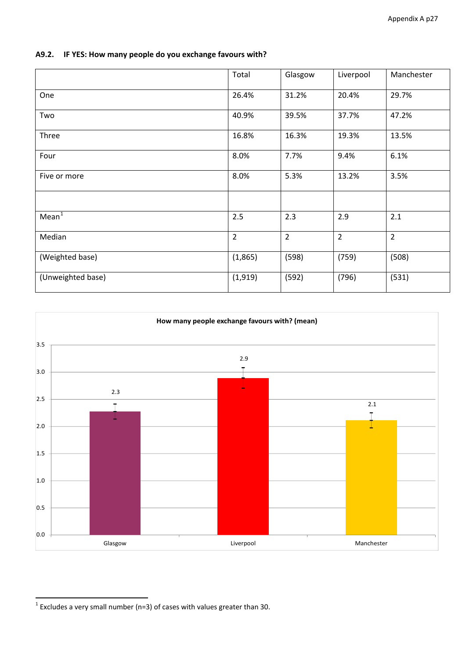|                   | Total          | Glasgow        | Liverpool      | Manchester     |
|-------------------|----------------|----------------|----------------|----------------|
| One               | 26.4%          | 31.2%          | 20.4%          | 29.7%          |
| Two               | 40.9%          | 39.5%          | 37.7%          | 47.2%          |
| Three             | 16.8%          | 16.3%          | 19.3%          | 13.5%          |
| Four              | 8.0%           | 7.7%           | 9.4%           | 6.1%           |
| Five or more      | 8.0%           | 5.3%           | 13.2%          | 3.5%           |
|                   |                |                |                |                |
| Mean <sup>1</sup> | 2.5            | 2.3            | 2.9            | 2.1            |
| Median            | $\overline{2}$ | $\overline{2}$ | $\overline{2}$ | $\overline{2}$ |
| (Weighted base)   | (1,865)        | (598)          | (759)          | (508)          |
| (Unweighted base) | (1, 919)       | (592)          | (796)          | (531)          |

## **A9.2. IF YES: How many people do you exchange favours with?**



<span id="page-26-0"></span>  $<sup>1</sup>$  Excludes a very small number (n=3) of cases with values greater than 30.</sup>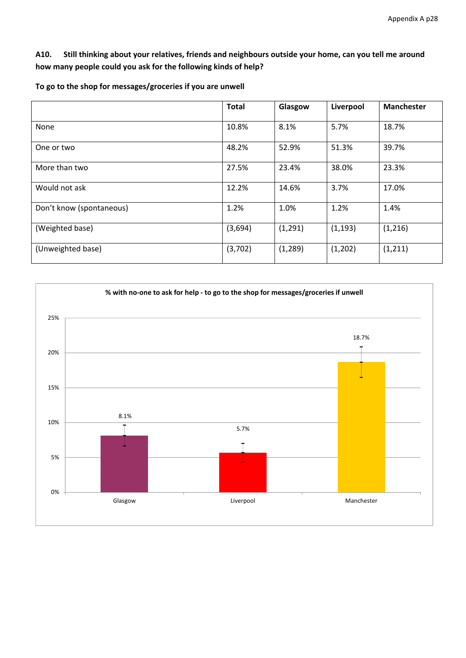A10. Still thinking about your relatives, friends and neighbours outside your home, can you tell me around **how many people could you ask for the following kinds of help?**

|                          | <b>Total</b> | Glasgow  | Liverpool | <b>Manchester</b> |
|--------------------------|--------------|----------|-----------|-------------------|
| None                     | 10.8%        | 8.1%     | 5.7%      | 18.7%             |
| One or two               | 48.2%        | 52.9%    | 51.3%     | 39.7%             |
| More than two            | 27.5%        | 23.4%    | 38.0%     | 23.3%             |
| Would not ask            | 12.2%        | 14.6%    | 3.7%      | 17.0%             |
| Don't know (spontaneous) | 1.2%         | 1.0%     | 1.2%      | 1.4%              |
| (Weighted base)          | (3,694)      | (1, 291) | (1, 193)  | (1,216)           |
| (Unweighted base)        | (3,702)      | (1, 289) | (1,202)   | (1, 211)          |

**To go to the shop for messages/groceries if you are unwell**

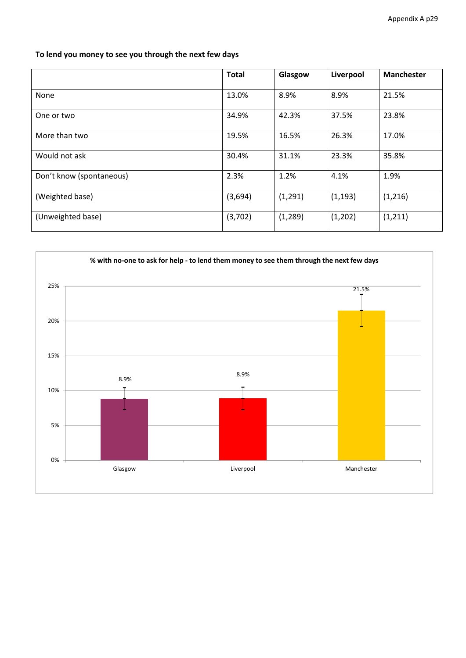**To lend you money to see you through the next few days**

|                          | <b>Total</b> | Glasgow  | Liverpool | <b>Manchester</b> |
|--------------------------|--------------|----------|-----------|-------------------|
| None                     | 13.0%        | 8.9%     | 8.9%      | 21.5%             |
| One or two               | 34.9%        | 42.3%    | 37.5%     | 23.8%             |
| More than two            | 19.5%        | 16.5%    | 26.3%     | 17.0%             |
| Would not ask            | 30.4%        | 31.1%    | 23.3%     | 35.8%             |
| Don't know (spontaneous) | 2.3%         | 1.2%     | 4.1%      | 1.9%              |
| (Weighted base)          | (3,694)      | (1, 291) | (1, 193)  | (1, 216)          |
| (Unweighted base)        | (3,702)      | (1, 289) | (1,202)   | (1, 211)          |

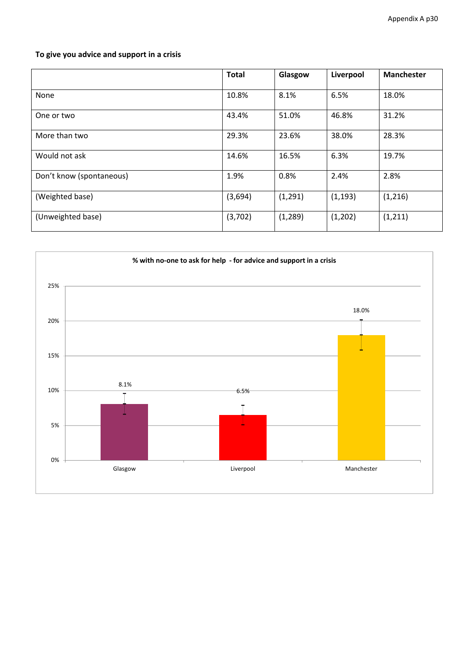## **To give you advice and support in a crisis**

|                          | <b>Total</b> | Glasgow  | Liverpool | <b>Manchester</b> |
|--------------------------|--------------|----------|-----------|-------------------|
| None                     | 10.8%        | 8.1%     | 6.5%      | 18.0%             |
| One or two               | 43.4%        | 51.0%    | 46.8%     | 31.2%             |
| More than two            | 29.3%        | 23.6%    | 38.0%     | 28.3%             |
| Would not ask            | 14.6%        | 16.5%    | 6.3%      | 19.7%             |
| Don't know (spontaneous) | 1.9%         | 0.8%     | 2.4%      | 2.8%              |
| (Weighted base)          | (3,694)      | (1, 291) | (1, 193)  | (1,216)           |
| (Unweighted base)        | (3,702)      | (1, 289) | (1,202)   | (1, 211)          |

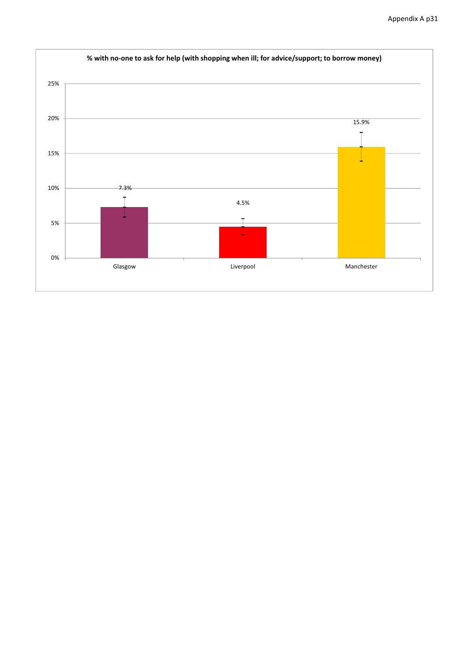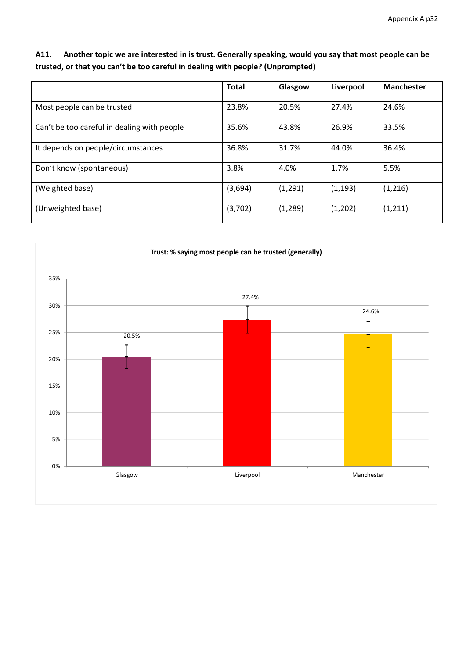### A11. Another topic we are interested in is trust. Generally speaking, would you say that most people can be **trusted, or that you can't be too careful in dealing with people? (Unprompted)**

|                                             | <b>Total</b> | Glasgow  | Liverpool | <b>Manchester</b> |
|---------------------------------------------|--------------|----------|-----------|-------------------|
| Most people can be trusted                  | 23.8%        | 20.5%    | 27.4%     | 24.6%             |
| Can't be too careful in dealing with people | 35.6%        | 43.8%    | 26.9%     | 33.5%             |
| It depends on people/circumstances          | 36.8%        | 31.7%    | 44.0%     | 36.4%             |
| Don't know (spontaneous)                    | 3.8%         | 4.0%     | 1.7%      | 5.5%              |
| (Weighted base)                             | (3,694)      | (1, 291) | (1, 193)  | (1, 216)          |
| (Unweighted base)                           | (3,702)      | (1, 289) | (1,202)   | (1, 211)          |

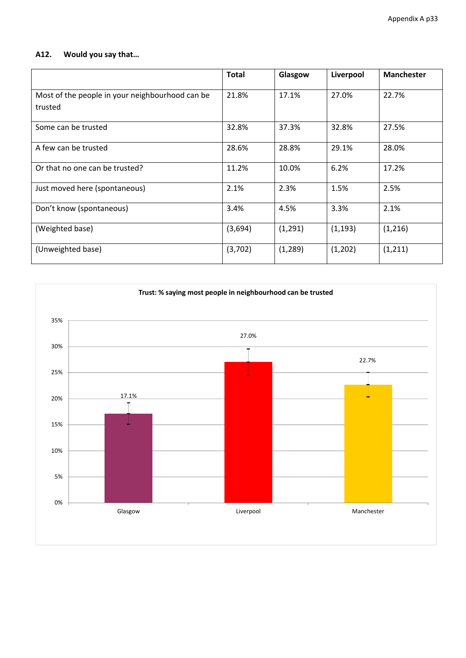### **A12. Would you say that…**

|                                                            | <b>Total</b> | Glasgow  | Liverpool | <b>Manchester</b> |
|------------------------------------------------------------|--------------|----------|-----------|-------------------|
| Most of the people in your neighbourhood can be<br>trusted | 21.8%        | 17.1%    | 27.0%     | 22.7%             |
| Some can be trusted                                        | 32.8%        | 37.3%    | 32.8%     | 27.5%             |
| A few can be trusted                                       | 28.6%        | 28.8%    | 29.1%     | 28.0%             |
| Or that no one can be trusted?                             | 11.2%        | 10.0%    | 6.2%      | 17.2%             |
| Just moved here (spontaneous)                              | 2.1%         | 2.3%     | 1.5%      | 2.5%              |
| Don't know (spontaneous)                                   | 3.4%         | 4.5%     | 3.3%      | 2.1%              |
| (Weighted base)                                            | (3,694)      | (1,291)  | (1, 193)  | (1,216)           |
| (Unweighted base)                                          | (3,702)      | (1, 289) | (1,202)   | (1, 211)          |

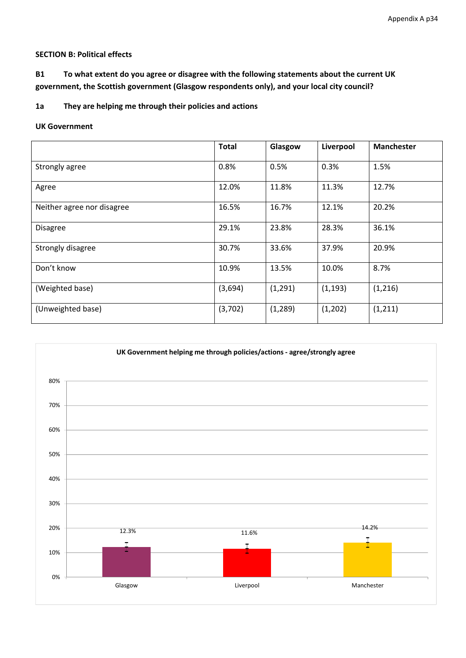#### **SECTION B: Political effects**

**B1 To what extent do you agree or disagree with the following statements about the current UK government, the Scottish government (Glasgow respondents only), and your local city council?**

**1a They are helping me through their policies and actions**

#### **UK Government**

|                            | <b>Total</b> | Glasgow  | Liverpool | <b>Manchester</b> |
|----------------------------|--------------|----------|-----------|-------------------|
| Strongly agree             | 0.8%         | 0.5%     | 0.3%      | 1.5%              |
| Agree                      | 12.0%        | 11.8%    | 11.3%     | 12.7%             |
| Neither agree nor disagree | 16.5%        | 16.7%    | 12.1%     | 20.2%             |
| <b>Disagree</b>            | 29.1%        | 23.8%    | 28.3%     | 36.1%             |
| Strongly disagree          | 30.7%        | 33.6%    | 37.9%     | 20.9%             |
| Don't know                 | 10.9%        | 13.5%    | 10.0%     | 8.7%              |
| (Weighted base)            | (3,694)      | (1, 291) | (1, 193)  | (1,216)           |
| (Unweighted base)          | (3,702)      | (1, 289) | (1,202)   | (1, 211)          |

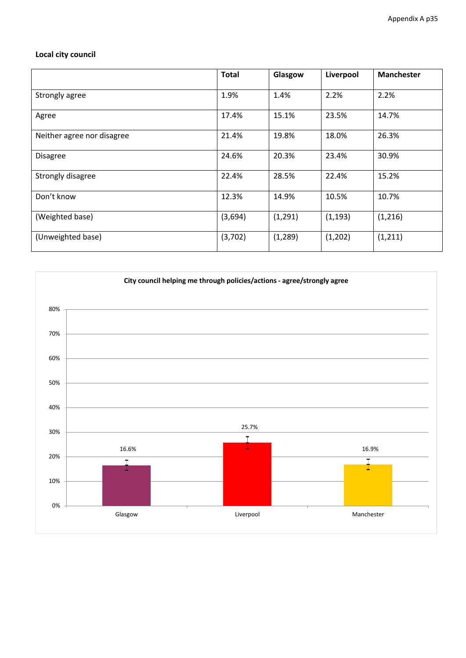## **Local city council**

|                            | <b>Total</b> | Glasgow  | Liverpool | <b>Manchester</b> |
|----------------------------|--------------|----------|-----------|-------------------|
| Strongly agree             | 1.9%         | 1.4%     | 2.2%      | 2.2%              |
| Agree                      | 17.4%        | 15.1%    | 23.5%     | 14.7%             |
| Neither agree nor disagree | 21.4%        | 19.8%    | 18.0%     | 26.3%             |
| <b>Disagree</b>            | 24.6%        | 20.3%    | 23.4%     | 30.9%             |
| Strongly disagree          | 22.4%        | 28.5%    | 22.4%     | 15.2%             |
| Don't know                 | 12.3%        | 14.9%    | 10.5%     | 10.7%             |
| (Weighted base)            | (3,694)      | (1, 291) | (1, 193)  | (1,216)           |
| (Unweighted base)          | (3,702)      | (1, 289) | (1,202)   | (1, 211)          |

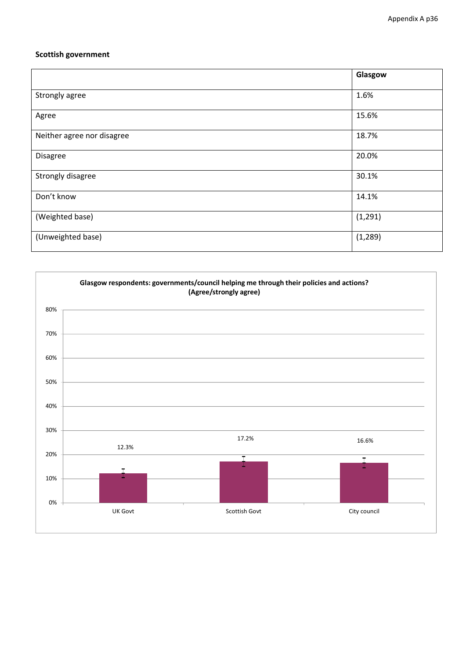#### **Scottish government**

|                            | Glasgow  |
|----------------------------|----------|
| Strongly agree             | 1.6%     |
| Agree                      | 15.6%    |
| Neither agree nor disagree | 18.7%    |
| Disagree                   | 20.0%    |
| Strongly disagree          | 30.1%    |
| Don't know                 | 14.1%    |
| (Weighted base)            | (1, 291) |
| (Unweighted base)          | (1, 289) |

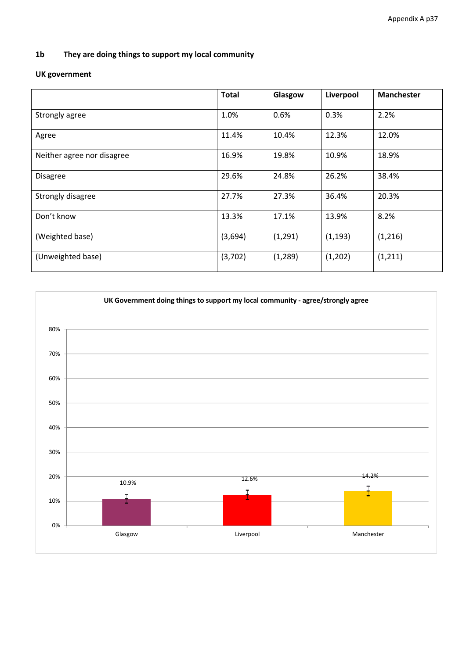#### **1b They are doing things to support my local community**

# **UK government**

|                            | <b>Total</b> | Glasgow  | Liverpool | <b>Manchester</b> |
|----------------------------|--------------|----------|-----------|-------------------|
| Strongly agree             | 1.0%         | 0.6%     | 0.3%      | 2.2%              |
| Agree                      | 11.4%        | 10.4%    | 12.3%     | 12.0%             |
| Neither agree nor disagree | 16.9%        | 19.8%    | 10.9%     | 18.9%             |
| <b>Disagree</b>            | 29.6%        | 24.8%    | 26.2%     | 38.4%             |
| Strongly disagree          | 27.7%        | 27.3%    | 36.4%     | 20.3%             |
| Don't know                 | 13.3%        | 17.1%    | 13.9%     | 8.2%              |
| (Weighted base)            | (3,694)      | (1, 291) | (1, 193)  | (1,216)           |
| (Unweighted base)          | (3,702)      | (1, 289) | (1,202)   | (1, 211)          |

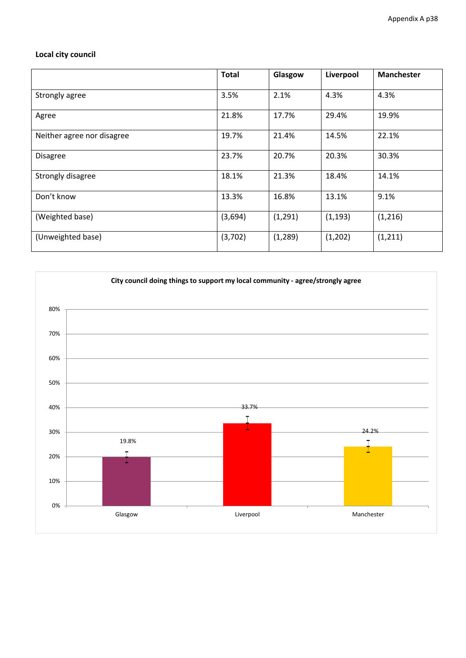# **Local city council**

|                            | <b>Total</b> | Glasgow  | Liverpool | <b>Manchester</b> |
|----------------------------|--------------|----------|-----------|-------------------|
| Strongly agree             | 3.5%         | 2.1%     | 4.3%      | 4.3%              |
| Agree                      | 21.8%        | 17.7%    | 29.4%     | 19.9%             |
| Neither agree nor disagree | 19.7%        | 21.4%    | 14.5%     | 22.1%             |
| <b>Disagree</b>            | 23.7%        | 20.7%    | 20.3%     | 30.3%             |
| Strongly disagree          | 18.1%        | 21.3%    | 18.4%     | 14.1%             |
| Don't know                 | 13.3%        | 16.8%    | 13.1%     | 9.1%              |
| (Weighted base)            | (3,694)      | (1, 291) | (1, 193)  | (1,216)           |
| (Unweighted base)          | (3,702)      | (1, 289) | (1,202)   | (1, 211)          |

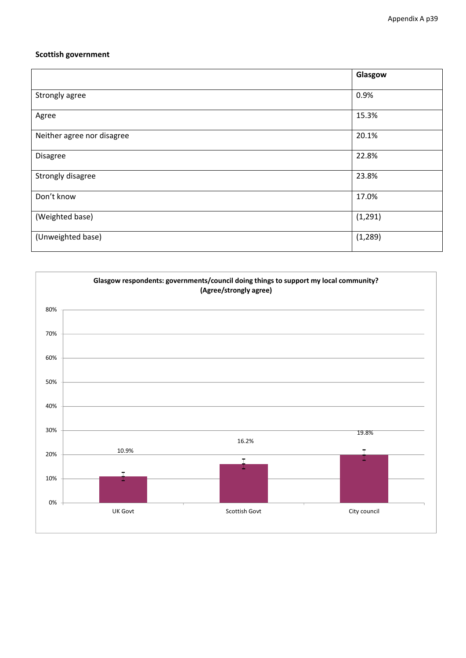#### **Scottish government**

|                            | Glasgow  |
|----------------------------|----------|
| Strongly agree             | 0.9%     |
| Agree                      | 15.3%    |
| Neither agree nor disagree | 20.1%    |
| Disagree                   | 22.8%    |
| Strongly disagree          | 23.8%    |
| Don't know                 | 17.0%    |
| (Weighted base)            | (1, 291) |
| (Unweighted base)          | (1, 289) |

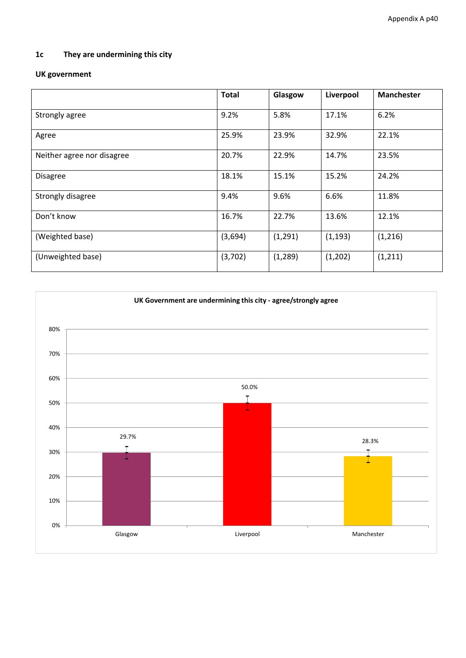# **1c They are undermining this city**

# **UK government**

|                            | <b>Total</b> | Glasgow  | Liverpool | <b>Manchester</b> |
|----------------------------|--------------|----------|-----------|-------------------|
| Strongly agree             | 9.2%         | 5.8%     | 17.1%     | 6.2%              |
| Agree                      | 25.9%        | 23.9%    | 32.9%     | 22.1%             |
| Neither agree nor disagree | 20.7%        | 22.9%    | 14.7%     | 23.5%             |
| <b>Disagree</b>            | 18.1%        | 15.1%    | 15.2%     | 24.2%             |
| Strongly disagree          | 9.4%         | 9.6%     | 6.6%      | 11.8%             |
| Don't know                 | 16.7%        | 22.7%    | 13.6%     | 12.1%             |
| (Weighted base)            | (3,694)      | (1, 291) | (1, 193)  | (1,216)           |
| (Unweighted base)          | (3,702)      | (1, 289) | (1,202)   | (1, 211)          |

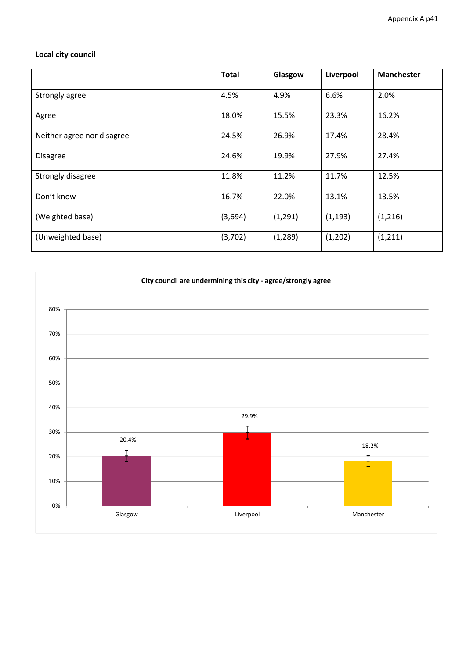# **Local city council**

|                            | <b>Total</b> | Glasgow  | Liverpool | <b>Manchester</b> |
|----------------------------|--------------|----------|-----------|-------------------|
| Strongly agree             | 4.5%         | 4.9%     | 6.6%      | 2.0%              |
| Agree                      | 18.0%        | 15.5%    | 23.3%     | 16.2%             |
| Neither agree nor disagree | 24.5%        | 26.9%    | 17.4%     | 28.4%             |
| <b>Disagree</b>            | 24.6%        | 19.9%    | 27.9%     | 27.4%             |
| Strongly disagree          | 11.8%        | 11.2%    | 11.7%     | 12.5%             |
| Don't know                 | 16.7%        | 22.0%    | 13.1%     | 13.5%             |
| (Weighted base)            | (3,694)      | (1,291)  | (1, 193)  | (1,216)           |
| (Unweighted base)          | (3,702)      | (1, 289) | (1,202)   | (1, 211)          |

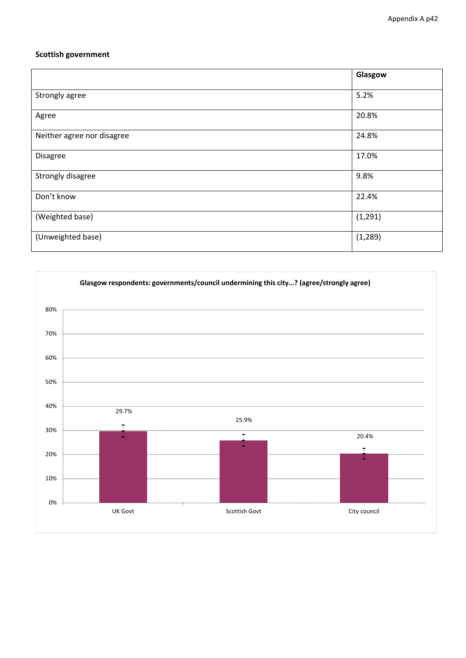### **Scottish government**

|                            | Glasgow  |
|----------------------------|----------|
|                            |          |
| Strongly agree             | 5.2%     |
| Agree                      | 20.8%    |
| Neither agree nor disagree | 24.8%    |
| Disagree                   | 17.0%    |
| Strongly disagree          | 9.8%     |
| Don't know                 | 22.4%    |
| (Weighted base)            | (1, 291) |
| (Unweighted base)          | (1, 289) |

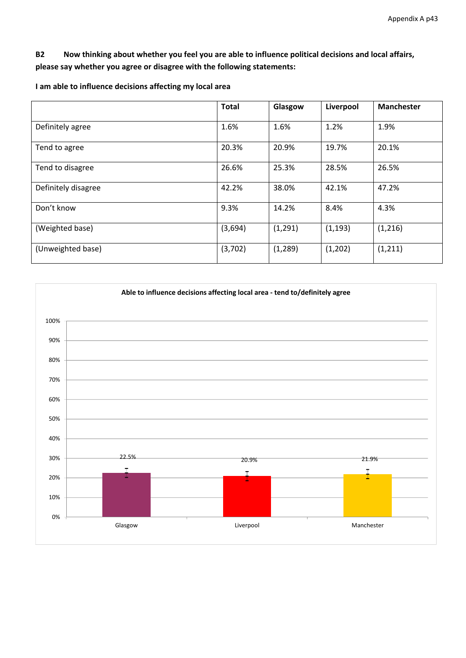### **B2 Now thinking about whether you feel you are able to influence political decisions and local affairs, please say whether you agree or disagree with the following statements:**

|                     | <b>Total</b> | Glasgow  | Liverpool | <b>Manchester</b> |
|---------------------|--------------|----------|-----------|-------------------|
| Definitely agree    | 1.6%         | 1.6%     | 1.2%      | 1.9%              |
| Tend to agree       | 20.3%        | 20.9%    | 19.7%     | 20.1%             |
| Tend to disagree    | 26.6%        | 25.3%    | 28.5%     | 26.5%             |
| Definitely disagree | 42.2%        | 38.0%    | 42.1%     | 47.2%             |
| Don't know          | 9.3%         | 14.2%    | 8.4%      | 4.3%              |
| (Weighted base)     | (3,694)      | (1, 291) | (1, 193)  | (1,216)           |
| (Unweighted base)   | (3,702)      | (1, 289) | (1,202)   | (1, 211)          |

**I am able to influence decisions affecting my local area**

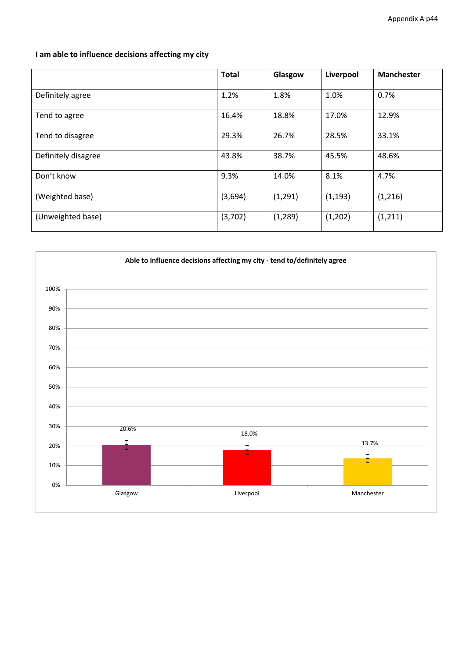**I am able to influence decisions affecting my city**

|                     | <b>Total</b> | Glasgow  | Liverpool | <b>Manchester</b> |
|---------------------|--------------|----------|-----------|-------------------|
| Definitely agree    | 1.2%         | 1.8%     | 1.0%      | 0.7%              |
| Tend to agree       | 16.4%        | 18.8%    | 17.0%     | 12.9%             |
| Tend to disagree    | 29.3%        | 26.7%    | 28.5%     | 33.1%             |
| Definitely disagree | 43.8%        | 38.7%    | 45.5%     | 48.6%             |
| Don't know          | 9.3%         | 14.0%    | 8.1%      | 4.7%              |
| (Weighted base)     | (3,694)      | (1, 291) | (1, 193)  | (1,216)           |
| (Unweighted base)   | (3,702)      | (1, 289) | (1,202)   | (1, 211)          |

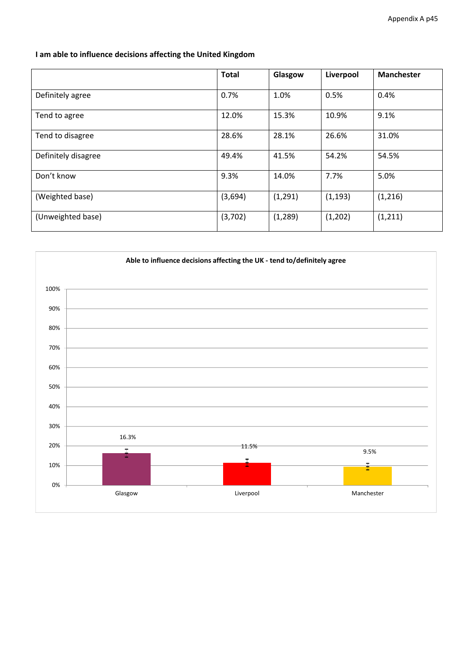**I am able to influence decisions affecting the United Kingdom**

|                     | <b>Total</b> | Glasgow  | Liverpool | <b>Manchester</b> |
|---------------------|--------------|----------|-----------|-------------------|
| Definitely agree    | 0.7%         | 1.0%     | 0.5%      | 0.4%              |
| Tend to agree       | 12.0%        | 15.3%    | 10.9%     | 9.1%              |
| Tend to disagree    | 28.6%        | 28.1%    | 26.6%     | 31.0%             |
| Definitely disagree | 49.4%        | 41.5%    | 54.2%     | 54.5%             |
| Don't know          | 9.3%         | 14.0%    | 7.7%      | 5.0%              |
| (Weighted base)     | (3,694)      | (1, 291) | (1, 193)  | (1,216)           |
| (Unweighted base)   | (3,702)      | (1, 289) | (1,202)   | (1, 211)          |

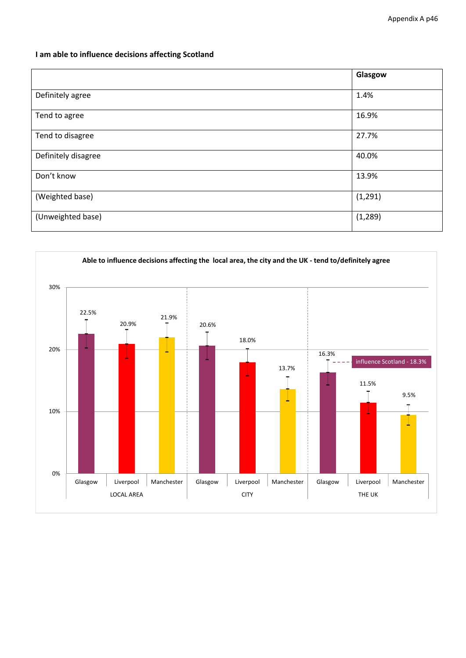### **I am able to influence decisions affecting Scotland**

|                     | Glasgow  |
|---------------------|----------|
| Definitely agree    | 1.4%     |
| Tend to agree       | 16.9%    |
| Tend to disagree    | 27.7%    |
| Definitely disagree | 40.0%    |
| Don't know          | 13.9%    |
| (Weighted base)     | (1, 291) |
| (Unweighted base)   | (1, 289) |

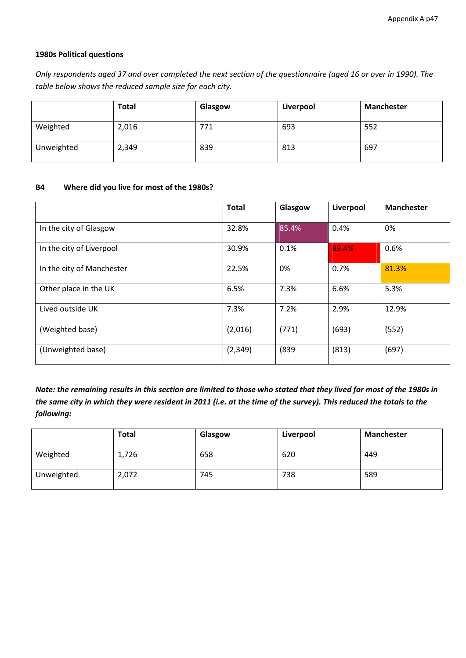### **1980s Political questions**

Only respondents aged 37 and over completed the next section of the questionnaire (aged 16 or over in 1990). The *table below shows the reduced sample size for each city.*

|            | <b>Total</b> | Glasgow | Liverpool | <b>Manchester</b> |
|------------|--------------|---------|-----------|-------------------|
| Weighted   | 2,016        | 771     | 693       | 552               |
| Unweighted | 2,349        | 839     | 813       | 697               |

#### **B4 Where did you live for most of the 1980s?**

|                           | <b>Total</b> | Glasgow | Liverpool | <b>Manchester</b> |
|---------------------------|--------------|---------|-----------|-------------------|
| In the city of Glasgow    | 32.8%        | 85.4%   | 0.4%      | 0%                |
| In the city of Liverpool  | 30.9%        | 0.1%    | 89.4%     | 0.6%              |
| In the city of Manchester | 22.5%        | 0%      | 0.7%      | 81.3%             |
| Other place in the UK     | 6.5%         | 7.3%    | 6.6%      | 5.3%              |
| Lived outside UK          | 7.3%         | 7.2%    | 2.9%      | 12.9%             |
| (Weighted base)           | (2,016)      | (771)   | (693)     | (552)             |
| (Unweighted base)         | (2, 349)     | (839)   | (813)     | (697)             |

Note: the remaining results in this section are limited to those who stated that they lived for most of the 1980s in the same city in which they were resident in 2011 (i.e. at the time of the survey). This reduced the totals to the *following:*

|            | <b>Total</b> | Glasgow | Liverpool | <b>Manchester</b> |
|------------|--------------|---------|-----------|-------------------|
| Weighted   | 1,726        | 658     | 620       | 449               |
| Unweighted | 2,072        | 745     | 738       | 589               |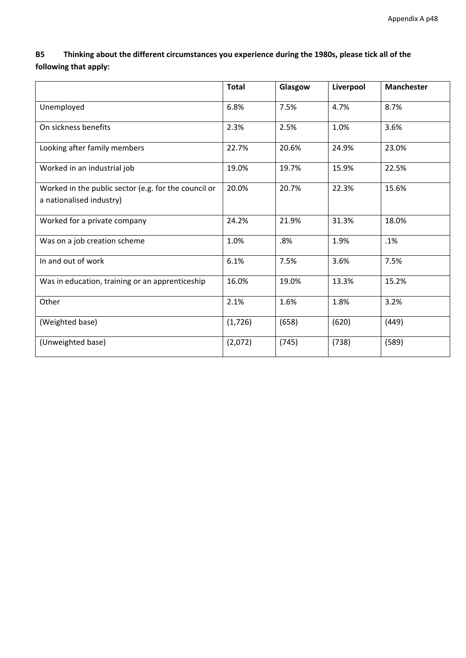**B5 Thinking about the different circumstances you experience during the 1980s, please tick all of the following that apply:**

|                                                                                  | <b>Total</b> | Glasgow | Liverpool | <b>Manchester</b> |
|----------------------------------------------------------------------------------|--------------|---------|-----------|-------------------|
| Unemployed                                                                       | 6.8%         | 7.5%    | 4.7%      | 8.7%              |
| On sickness benefits                                                             | 2.3%         | 2.5%    | 1.0%      | 3.6%              |
| Looking after family members                                                     | 22.7%        | 20.6%   | 24.9%     | 23.0%             |
| Worked in an industrial job                                                      | 19.0%        | 19.7%   | 15.9%     | 22.5%             |
| Worked in the public sector (e.g. for the council or<br>a nationalised industry) | 20.0%        | 20.7%   | 22.3%     | 15.6%             |
| Worked for a private company                                                     | 24.2%        | 21.9%   | 31.3%     | 18.0%             |
| Was on a job creation scheme                                                     | 1.0%         | .8%     | 1.9%      | .1%               |
| In and out of work                                                               | 6.1%         | 7.5%    | 3.6%      | 7.5%              |
| Was in education, training or an apprenticeship                                  | 16.0%        | 19.0%   | 13.3%     | 15.2%             |
| Other                                                                            | 2.1%         | 1.6%    | 1.8%      | 3.2%              |
| (Weighted base)                                                                  | (1,726)      | (658)   | (620)     | (449)             |
| (Unweighted base)                                                                | (2,072)      | (745)   | (738)     | (589)             |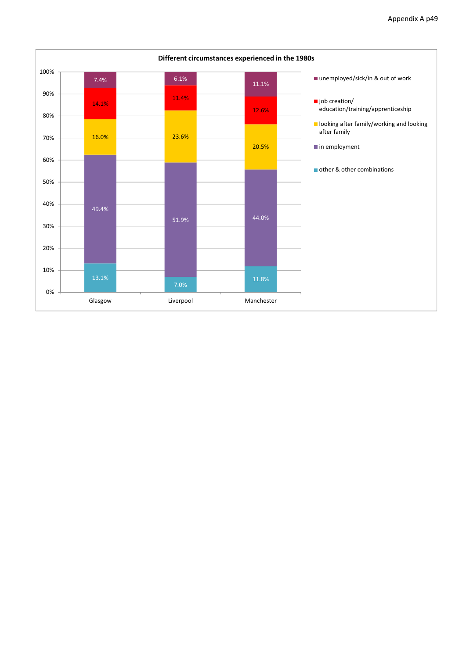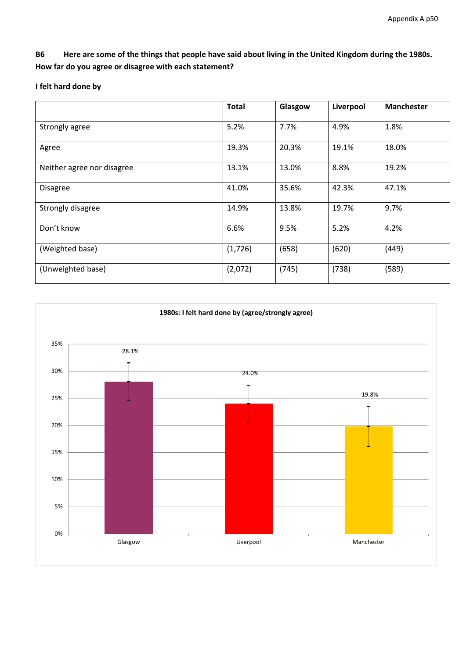B6 Here are some of the things that people have said about living in the United Kingdom during the 1980s. **How far do you agree or disagree with each statement?**

### **I felt hard done by**

|                            | <b>Total</b> | Glasgow | Liverpool | <b>Manchester</b> |
|----------------------------|--------------|---------|-----------|-------------------|
| Strongly agree             | 5.2%         | 7.7%    | 4.9%      | 1.8%              |
| Agree                      | 19.3%        | 20.3%   | 19.1%     | 18.0%             |
| Neither agree nor disagree | 13.1%        | 13.0%   | 8.8%      | 19.2%             |
| <b>Disagree</b>            | 41.0%        | 35.6%   | 42.3%     | 47.1%             |
| Strongly disagree          | 14.9%        | 13.8%   | 19.7%     | 9.7%              |
| Don't know                 | 6.6%         | 9.5%    | 5.2%      | 4.2%              |
| (Weighted base)            | (1,726)      | (658)   | (620)     | (449)             |
| (Unweighted base)          | (2,072)      | (745)   | (738)     | (589)             |

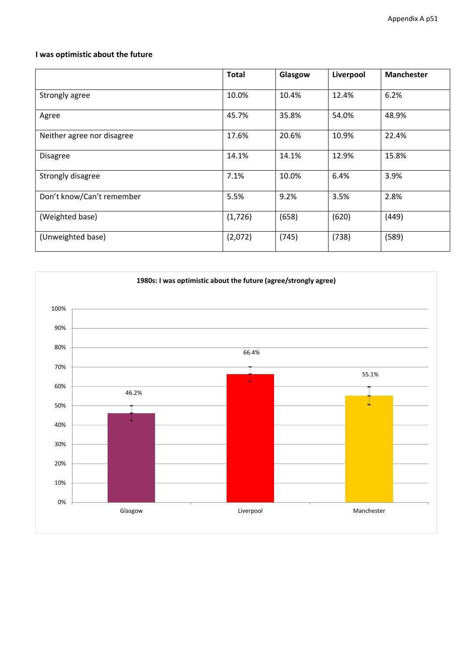### **I was optimistic about the future**

|                            | <b>Total</b> | Glasgow | Liverpool | <b>Manchester</b> |
|----------------------------|--------------|---------|-----------|-------------------|
| Strongly agree             | 10.0%        | 10.4%   | 12.4%     | 6.2%              |
| Agree                      | 45.7%        | 35.8%   | 54.0%     | 48.9%             |
| Neither agree nor disagree | 17.6%        | 20.6%   | 10.9%     | 22.4%             |
| <b>Disagree</b>            | 14.1%        | 14.1%   | 12.9%     | 15.8%             |
| Strongly disagree          | 7.1%         | 10.0%   | 6.4%      | 3.9%              |
| Don't know/Can't remember  | 5.5%         | 9.2%    | 3.5%      | 2.8%              |
| (Weighted base)            | (1,726)      | (658)   | (620)     | (449)             |
| (Unweighted base)          | (2,072)      | (745)   | (738)     | (589)             |

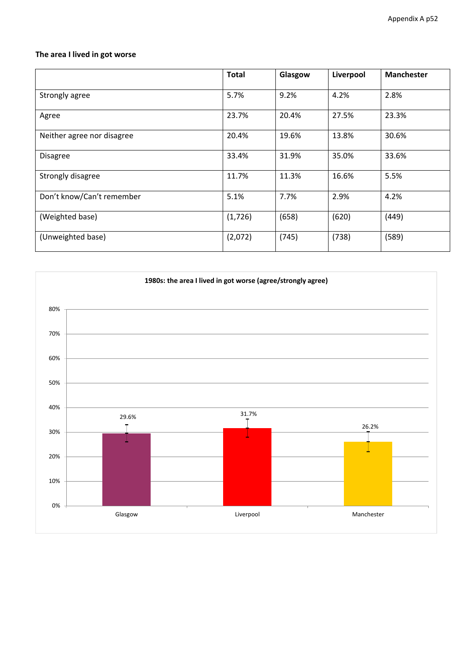### **The area I lived in got worse**

|                            | <b>Total</b> | Glasgow | Liverpool | <b>Manchester</b> |
|----------------------------|--------------|---------|-----------|-------------------|
| Strongly agree             | 5.7%         | 9.2%    | 4.2%      | 2.8%              |
| Agree                      | 23.7%        | 20.4%   | 27.5%     | 23.3%             |
| Neither agree nor disagree | 20.4%        | 19.6%   | 13.8%     | 30.6%             |
| <b>Disagree</b>            | 33.4%        | 31.9%   | 35.0%     | 33.6%             |
| Strongly disagree          | 11.7%        | 11.3%   | 16.6%     | 5.5%              |
| Don't know/Can't remember  | 5.1%         | 7.7%    | 2.9%      | 4.2%              |
| (Weighted base)            | (1,726)      | (658)   | (620)     | (449)             |
| (Unweighted base)          | (2,072)      | (745)   | (738)     | (589)             |

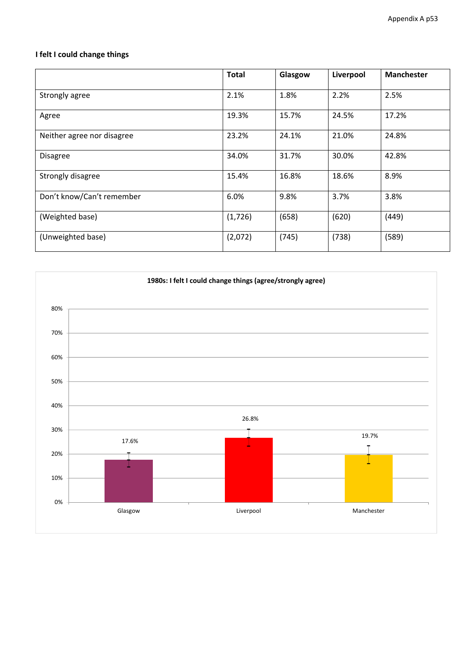# **I felt I could change things**

|                            | <b>Total</b> | Glasgow | Liverpool | <b>Manchester</b> |
|----------------------------|--------------|---------|-----------|-------------------|
| Strongly agree             | 2.1%         | 1.8%    | 2.2%      | 2.5%              |
| Agree                      | 19.3%        | 15.7%   | 24.5%     | 17.2%             |
| Neither agree nor disagree | 23.2%        | 24.1%   | 21.0%     | 24.8%             |
| <b>Disagree</b>            | 34.0%        | 31.7%   | 30.0%     | 42.8%             |
| Strongly disagree          | 15.4%        | 16.8%   | 18.6%     | 8.9%              |
| Don't know/Can't remember  | 6.0%         | 9.8%    | 3.7%      | 3.8%              |
| (Weighted base)            | (1,726)      | (658)   | (620)     | (449)             |
| (Unweighted base)          | (2,072)      | (745)   | (738)     | (589)             |

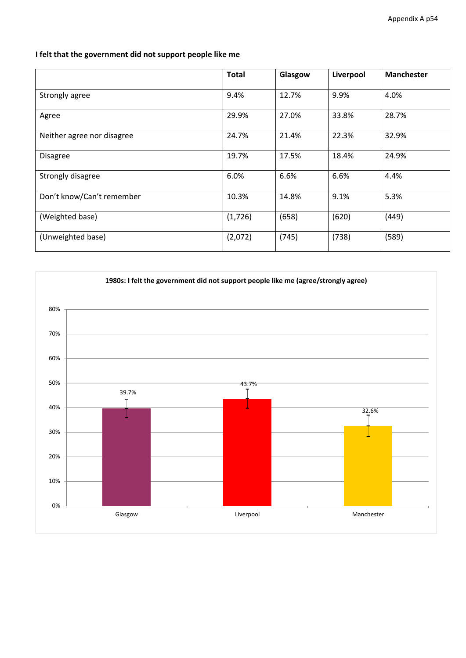**I felt that the government did not support people like me**

|                            | <b>Total</b> | Glasgow | Liverpool | <b>Manchester</b> |
|----------------------------|--------------|---------|-----------|-------------------|
| Strongly agree             | 9.4%         | 12.7%   | 9.9%      | 4.0%              |
| Agree                      | 29.9%        | 27.0%   | 33.8%     | 28.7%             |
| Neither agree nor disagree | 24.7%        | 21.4%   | 22.3%     | 32.9%             |
| <b>Disagree</b>            | 19.7%        | 17.5%   | 18.4%     | 24.9%             |
| Strongly disagree          | 6.0%         | 6.6%    | 6.6%      | 4.4%              |
| Don't know/Can't remember  | 10.3%        | 14.8%   | 9.1%      | 5.3%              |
| (Weighted base)            | (1,726)      | (658)   | (620)     | (449)             |
| (Unweighted base)          | (2,072)      | (745)   | (738)     | (589)             |

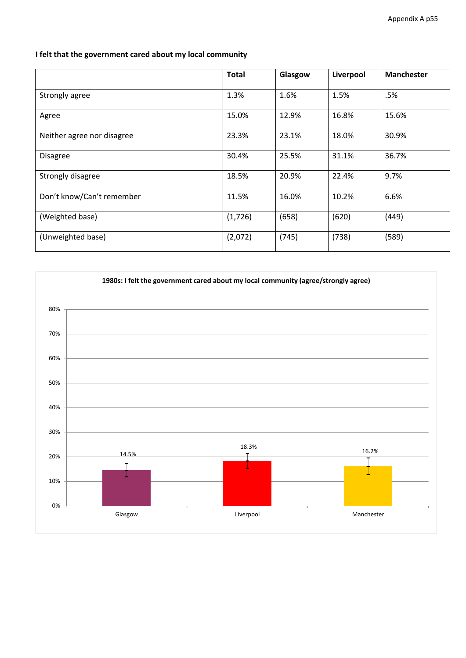### **I felt that the government cared about my local community**

|                            | <b>Total</b> | Glasgow | Liverpool | <b>Manchester</b> |
|----------------------------|--------------|---------|-----------|-------------------|
| Strongly agree             | 1.3%         | 1.6%    | 1.5%      | .5%               |
| Agree                      | 15.0%        | 12.9%   | 16.8%     | 15.6%             |
| Neither agree nor disagree | 23.3%        | 23.1%   | 18.0%     | 30.9%             |
| <b>Disagree</b>            | 30.4%        | 25.5%   | 31.1%     | 36.7%             |
| Strongly disagree          | 18.5%        | 20.9%   | 22.4%     | 9.7%              |
| Don't know/Can't remember  | 11.5%        | 16.0%   | 10.2%     | 6.6%              |
| (Weighted base)            | (1,726)      | (658)   | (620)     | (449)             |
| (Unweighted base)          | (2,072)      | (745)   | (738)     | (589)             |

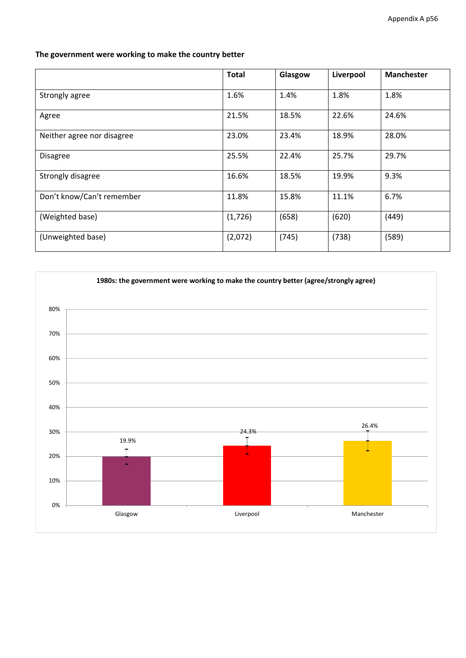### **The government were working to make the country better**

|                            | <b>Total</b> | Glasgow | Liverpool | <b>Manchester</b> |
|----------------------------|--------------|---------|-----------|-------------------|
| Strongly agree             | 1.6%         | 1.4%    | 1.8%      | 1.8%              |
| Agree                      | 21.5%        | 18.5%   | 22.6%     | 24.6%             |
| Neither agree nor disagree | 23.0%        | 23.4%   | 18.9%     | 28.0%             |
| <b>Disagree</b>            | 25.5%        | 22.4%   | 25.7%     | 29.7%             |
| Strongly disagree          | 16.6%        | 18.5%   | 19.9%     | 9.3%              |
| Don't know/Can't remember  | 11.8%        | 15.8%   | 11.1%     | 6.7%              |
| (Weighted base)            | (1,726)      | (658)   | (620)     | (449)             |
| (Unweighted base)          | (2,072)      | (745)   | (738)     | (589)             |

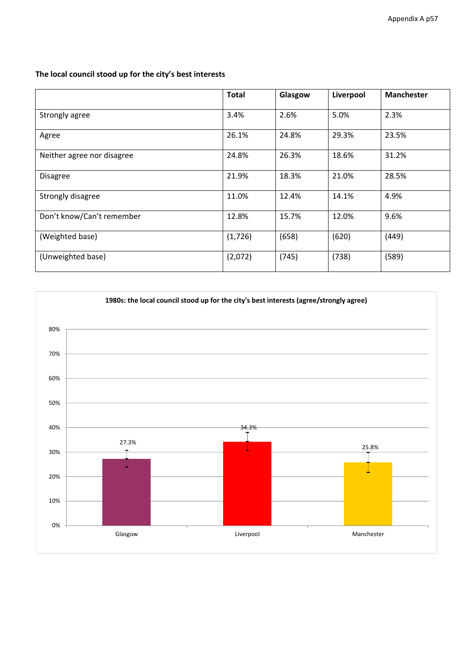|                            | <b>Total</b> | Glasgow | Liverpool | <b>Manchester</b> |
|----------------------------|--------------|---------|-----------|-------------------|
| Strongly agree             | 3.4%         | 2.6%    | 5.0%      | 2.3%              |
| Agree                      | 26.1%        | 24.8%   | 29.3%     | 23.5%             |
| Neither agree nor disagree | 24.8%        | 26.3%   | 18.6%     | 31.2%             |
| <b>Disagree</b>            | 21.9%        | 18.3%   | 21.0%     | 28.5%             |
| Strongly disagree          | 11.0%        | 12.4%   | 14.1%     | 4.9%              |
| Don't know/Can't remember  | 12.8%        | 15.7%   | 12.0%     | 9.6%              |
| (Weighted base)            | (1,726)      | (658)   | (620)     | (449)             |
| (Unweighted base)          | (2,072)      | (745)   | (738)     | (589)             |

# **The local council stood up for the city's best interests**

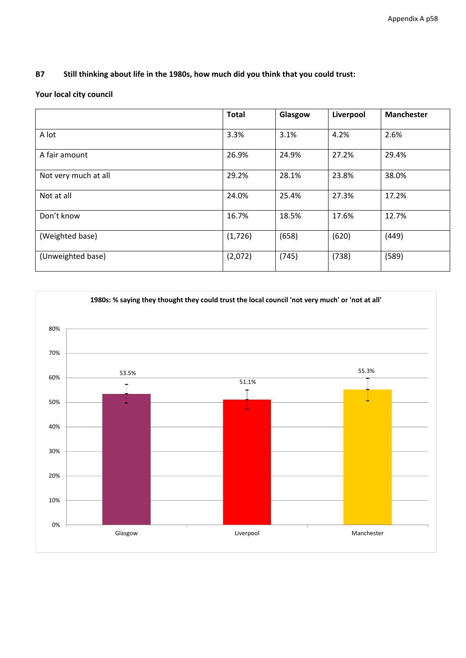### **B7 Still thinking about life in the 1980s, how much did you think that you could trust:**

### **Your local city council**

|                      | <b>Total</b> | Glasgow | Liverpool | <b>Manchester</b> |
|----------------------|--------------|---------|-----------|-------------------|
| A lot                | 3.3%         | 3.1%    | 4.2%      | 2.6%              |
| A fair amount        | 26.9%        | 24.9%   | 27.2%     | 29.4%             |
| Not very much at all | 29.2%        | 28.1%   | 23.8%     | 38.0%             |
| Not at all           | 24.0%        | 25.4%   | 27.3%     | 17.2%             |
| Don't know           | 16.7%        | 18.5%   | 17.6%     | 12.7%             |
| (Weighted base)      | (1,726)      | (658)   | (620)     | (449)             |
| (Unweighted base)    | (2,072)      | (745)   | (738)     | (589)             |

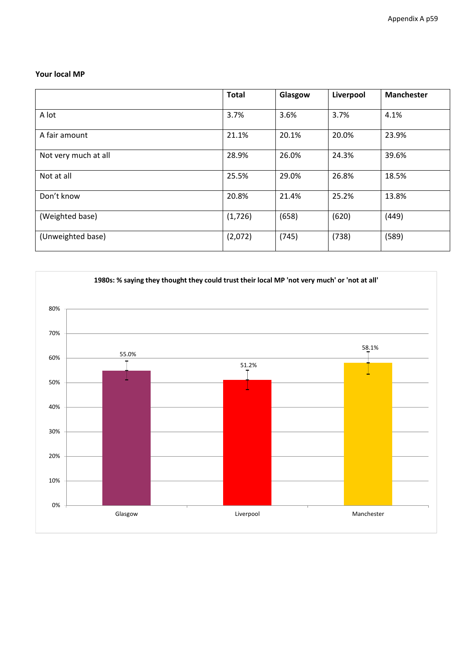#### **Your local MP**

|                      | <b>Total</b> | Glasgow | Liverpool | <b>Manchester</b> |
|----------------------|--------------|---------|-----------|-------------------|
| A lot                | 3.7%         | 3.6%    | 3.7%      | 4.1%              |
| A fair amount        | 21.1%        | 20.1%   | 20.0%     | 23.9%             |
| Not very much at all | 28.9%        | 26.0%   | 24.3%     | 39.6%             |
| Not at all           | 25.5%        | 29.0%   | 26.8%     | 18.5%             |
| Don't know           | 20.8%        | 21.4%   | 25.2%     | 13.8%             |
| (Weighted base)      | (1,726)      | (658)   | (620)     | (449)             |
| (Unweighted base)    | (2,072)      | (745)   | (738)     | (589)             |

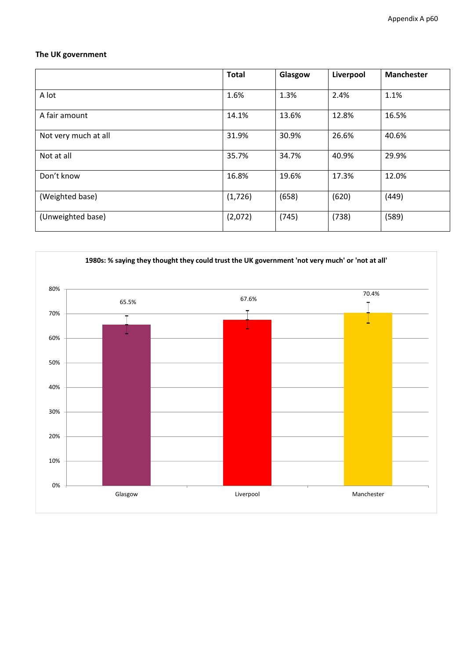### **The UK government**

|                      | <b>Total</b> | Glasgow | Liverpool | <b>Manchester</b> |
|----------------------|--------------|---------|-----------|-------------------|
| A lot                | 1.6%         | 1.3%    | 2.4%      | 1.1%              |
| A fair amount        | 14.1%        | 13.6%   | 12.8%     | 16.5%             |
| Not very much at all | 31.9%        | 30.9%   | 26.6%     | 40.6%             |
| Not at all           | 35.7%        | 34.7%   | 40.9%     | 29.9%             |
| Don't know           | 16.8%        | 19.6%   | 17.3%     | 12.0%             |
| (Weighted base)      | (1,726)      | (658)   | (620)     | (449)             |
| (Unweighted base)    | (2,072)      | (745)   | (738)     | (589)             |

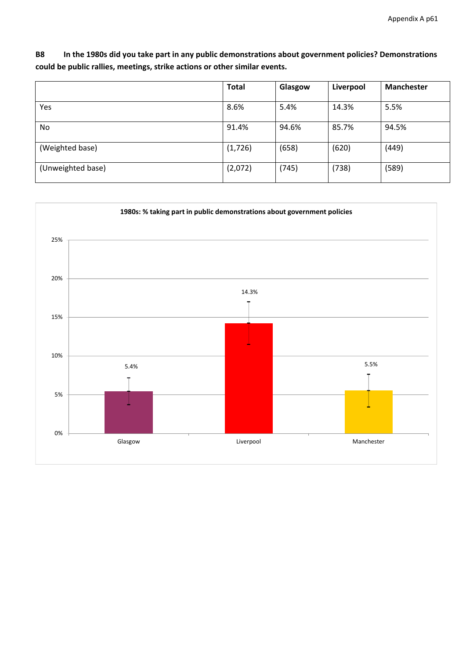**B8 In the 1980s did you take part in any public demonstrations about government policies? Demonstrations could be public rallies, meetings, strike actions or other similar events.**

|                   | <b>Total</b> | Glasgow | Liverpool | <b>Manchester</b> |
|-------------------|--------------|---------|-----------|-------------------|
| Yes               | 8.6%         | 5.4%    | 14.3%     | 5.5%              |
| <b>No</b>         | 91.4%        | 94.6%   | 85.7%     | 94.5%             |
| (Weighted base)   | (1, 726)     | (658)   | (620)     | (449)             |
| (Unweighted base) | (2,072)      | (745)   | (738)     | (589)             |

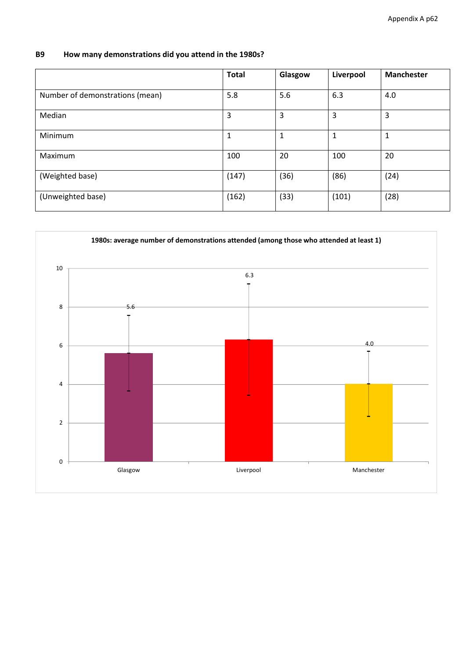# **B9 How many demonstrations did you attend in the 1980s?**

|                                 | <b>Total</b> | Glasgow | Liverpool | <b>Manchester</b> |
|---------------------------------|--------------|---------|-----------|-------------------|
| Number of demonstrations (mean) | 5.8          | 5.6     | 6.3       | 4.0               |
| Median                          | 3            | 3       | 3         | 3                 |
| Minimum                         | 1            | 1       | 1         | 1                 |
| Maximum                         | 100          | 20      | 100       | 20                |
| (Weighted base)                 | (147)        | (36)    | (86)      | (24)              |
| (Unweighted base)               | (162)        | (33)    | (101)     | (28)              |

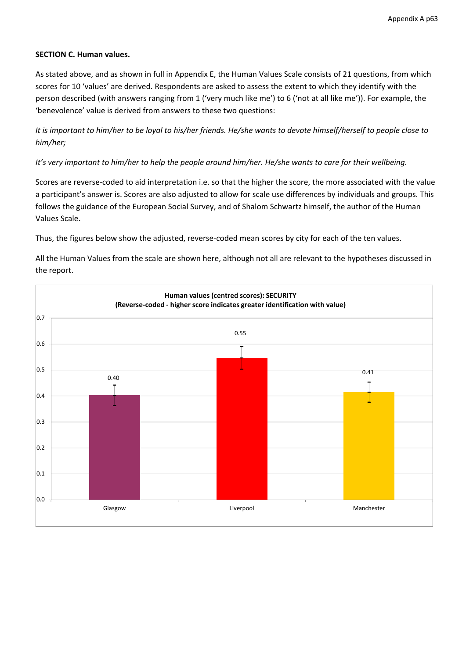#### **SECTION C. Human values.**

As stated above, and as shown in full in Appendix E, the Human Values Scale consists of 21 questions, from which scores for 10 'values' are derived. Respondents are asked to assess the extent to which they identify with the person described (with answers ranging from 1 ('very much like me') to 6 ('not at all like me')). For example, the 'benevolence' value is derived from answers to these two questions:

It is important to him/her to be loyal to his/her friends. He/she wants to devote himself/herself to people close to *him/her;* 

#### It's very important to him/her to help the people around him/her. He/she wants to care for their wellbeing.

Scores are reverse-coded to aid interpretation i.e. so that the higher the score, the more associated with the value a participant's answer is. Scores are also adjusted to allow for scale use differences by individuals and groups. This follows the guidance of the European Social Survey, and of Shalom Schwartz himself, the author of the Human Values Scale.

Thus, the figures below show the adjusted, reverse-coded mean scores by city for each of the ten values.

All the Human Values from the scale are shown here, although not all are relevant to the hypotheses discussed in the report.

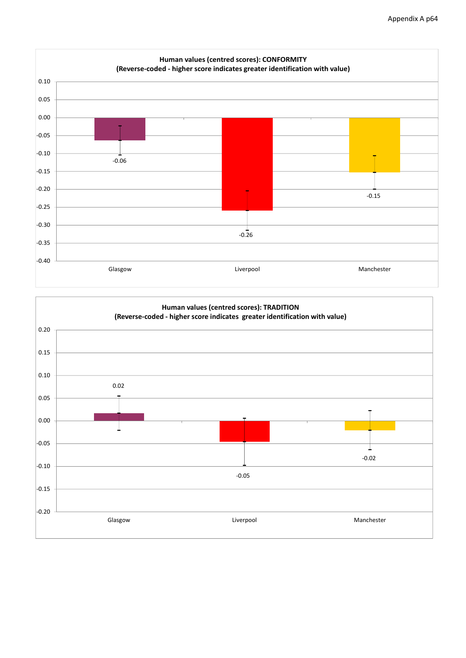

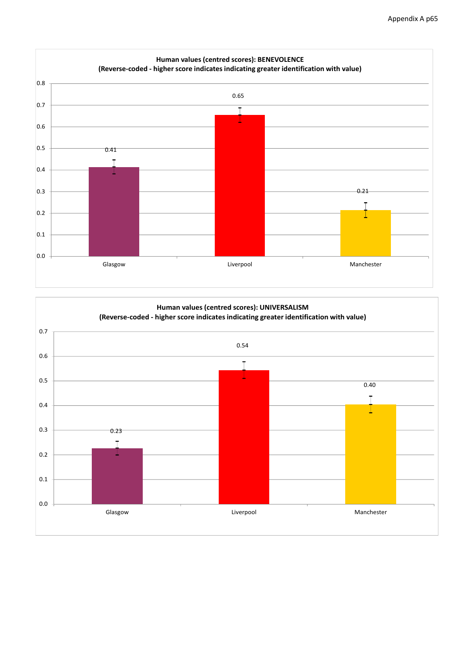

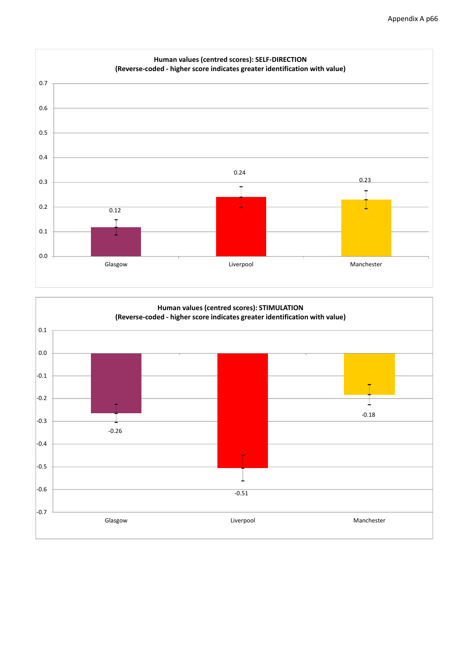

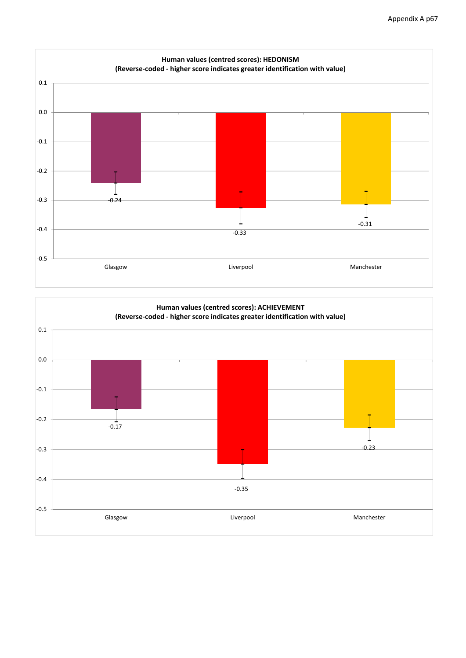

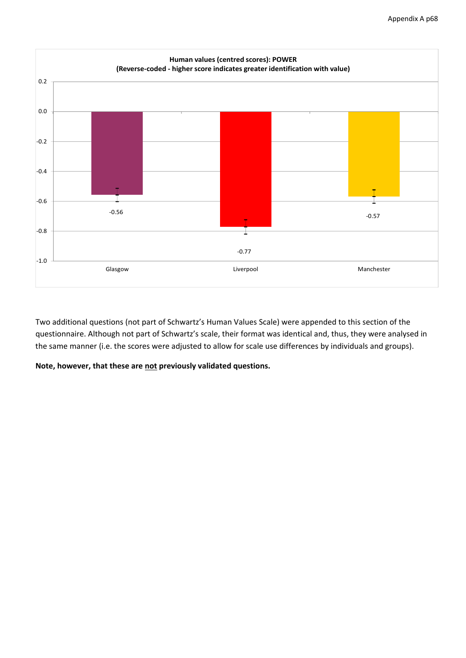

Two additional questions (not part of Schwartz's Human Values Scale) were appended to this section of the questionnaire. Although not part of Schwartz's scale, their format was identical and, thus, they were analysed in the same manner (i.e. the scores were adjusted to allow for scale use differences by individuals and groups).

**Note, however, that these are not previously validated questions.**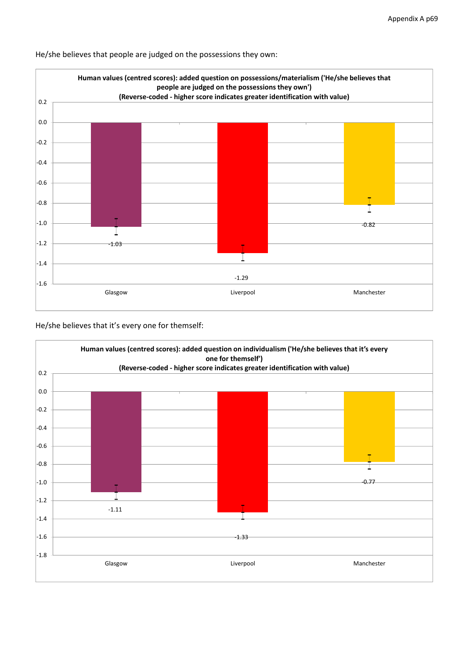

He/she believes that people are judged on the possessions they own:

He/she believes that it's every one for themself:

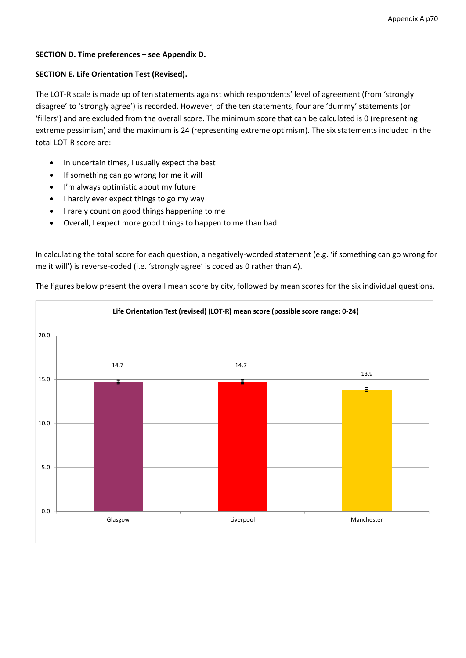### **SECTION D. Time preferences – see Appendix D.**

### **SECTION E. Life Orientation Test (Revised).**

The LOT-R scale is made up of ten statements against which respondents' level of agreement (from 'strongly disagree' to 'strongly agree') is recorded. However, of the ten statements, four are 'dummy' statements (or 'fillers') and are excluded from the overall score. The minimum score that can be calculated is 0 (representing extreme pessimism) and the maximum is 24 (representing extreme optimism). The six statements included in the total LOT‐R score are:

- In uncertain times, I usually expect the best
- If something can go wrong for me it will
- I'm always optimistic about my future
- I hardly ever expect things to go my way
- I rarely count on good things happening to me
- Overall, I expect more good things to happen to me than bad.

In calculating the total score for each question, a negatively-worded statement (e.g. 'if something can go wrong for me it will') is reverse-coded (i.e. 'strongly agree' is coded as 0 rather than 4).

The figures below present the overall mean score by city, followed by mean scores for the six individual questions.

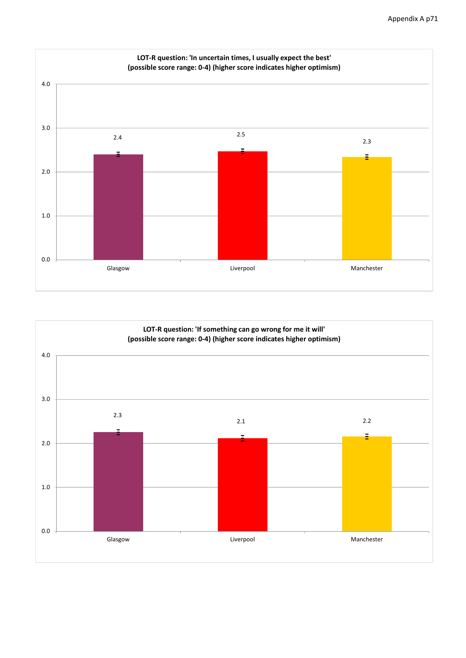

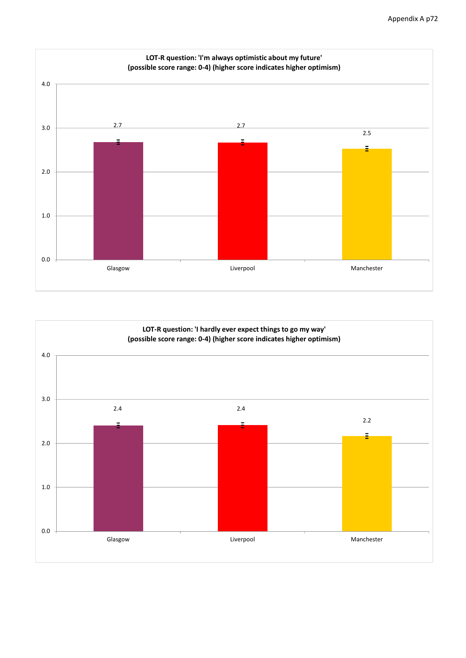

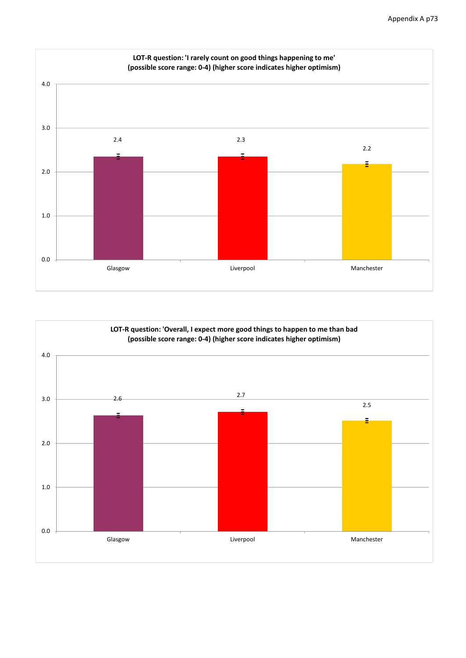

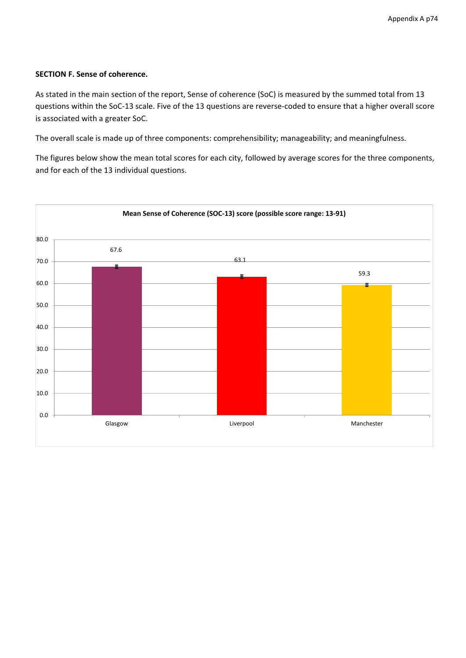#### **SECTION F. Sense of coherence.**

As stated in the main section of the report, Sense of coherence (SoC) is measured by the summed total from 13 questions within the SoC-13 scale. Five of the 13 questions are reverse-coded to ensure that a higher overall score is associated with a greater SoC.

The overall scale is made up of three components: comprehensibility; manageability; and meaningfulness.

The figures below show the mean total scores for each city, followed by average scores for the three components, and for each of the 13 individual questions.

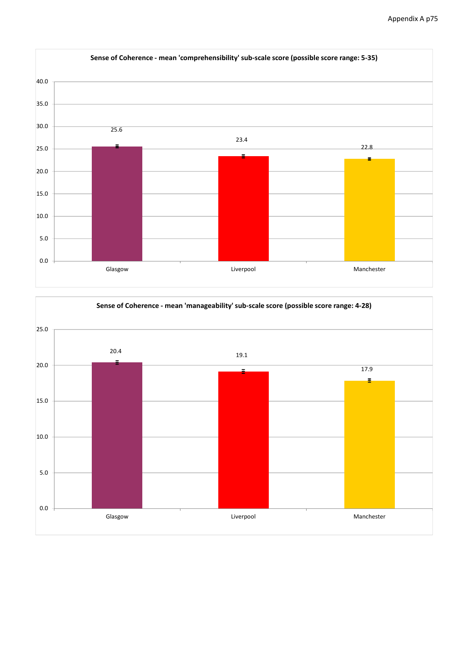

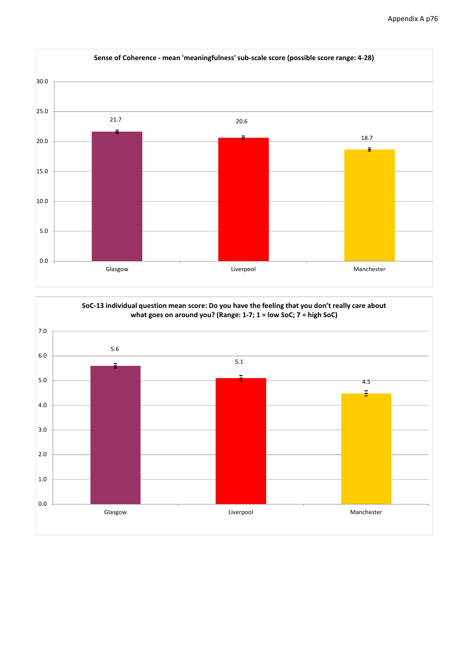

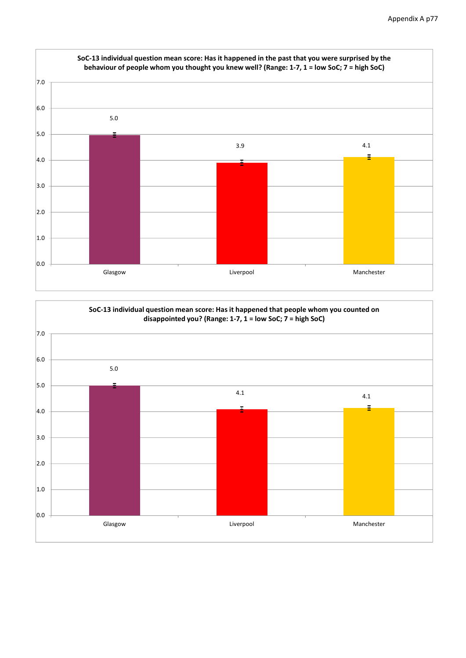

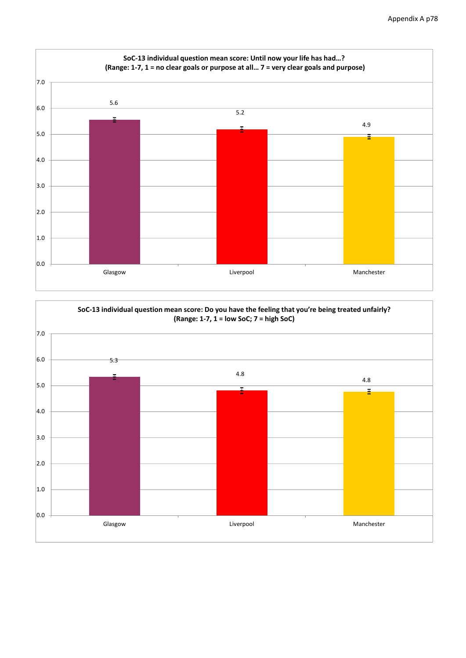

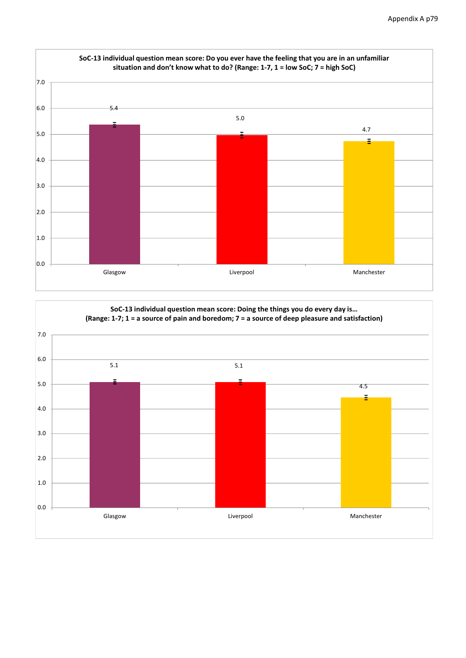

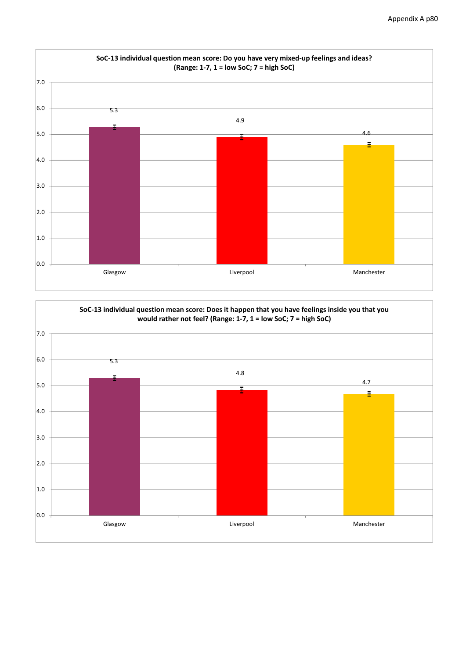

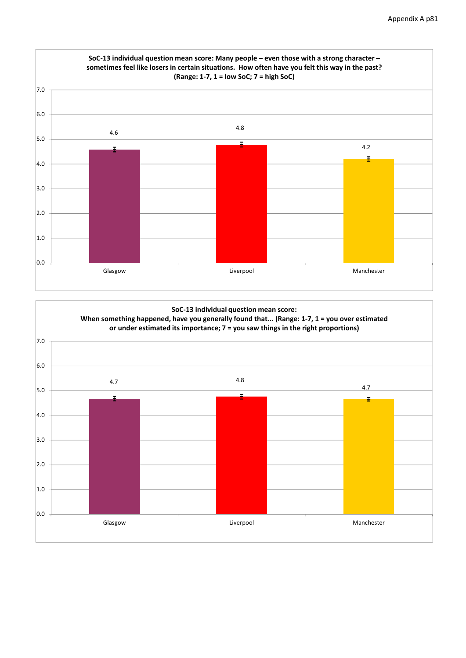

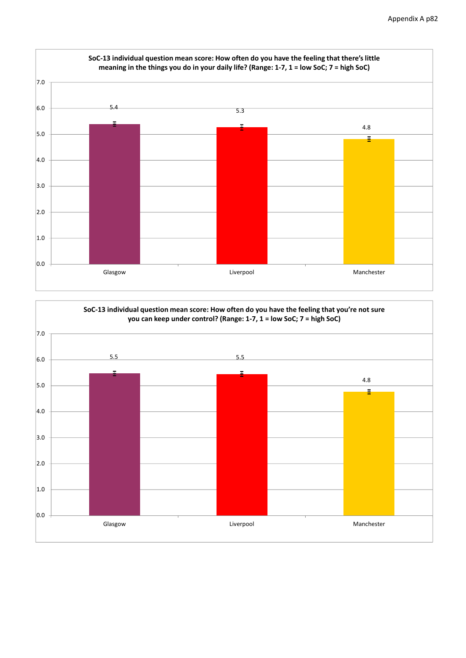

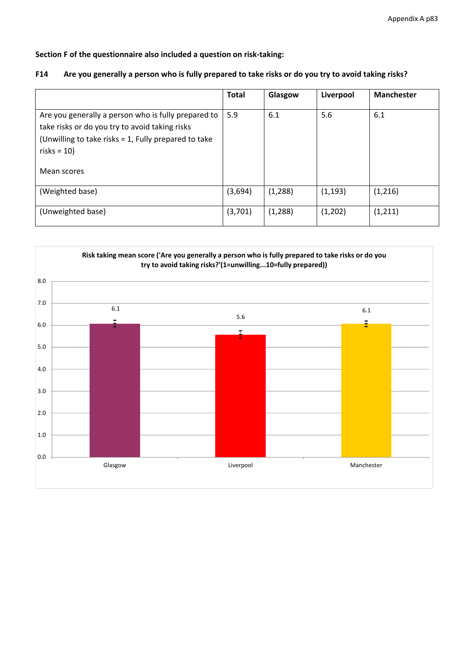**Section F of the questionnaire also included a question on risk‐taking:**

#### F14 Are you generally a person who is fully prepared to take risks or do you try to avoid taking risks?

|                                                                                                                                                                                                | <b>Total</b> | Glasgow  | Liverpool | <b>Manchester</b> |
|------------------------------------------------------------------------------------------------------------------------------------------------------------------------------------------------|--------------|----------|-----------|-------------------|
| Are you generally a person who is fully prepared to<br>take risks or do you try to avoid taking risks<br>(Unwilling to take risks = 1, Fully prepared to take<br>risks = $10$ )<br>Mean scores | 5.9          | 6.1      | 5.6       | 6.1               |
| (Weighted base)                                                                                                                                                                                | (3,694)      | (1, 288) | (1, 193)  | (1,216)           |
| (Unweighted base)                                                                                                                                                                              | (3,701)      | (1, 288) | (1,202)   | (1,211)           |

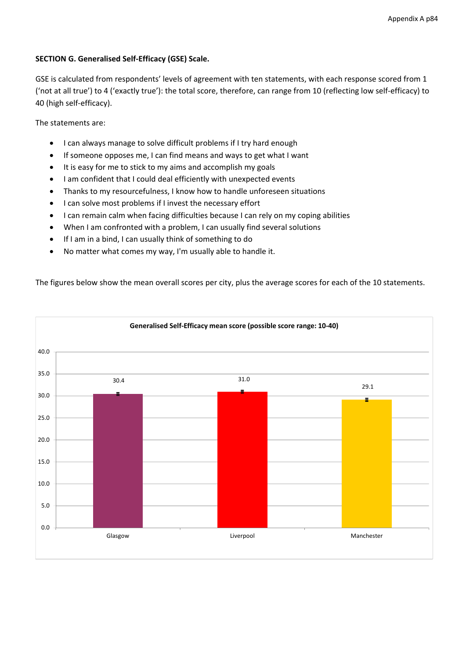### **SECTION G. Generalised Self‐Efficacy (GSE) Scale.**

GSE is calculated from respondents' levels of agreement with ten statements, with each response scored from 1 ('not at all true') to 4 ('exactly true'): the total score, therefore, can range from 10 (reflecting low self‐efficacy) to 40 (high self‐efficacy).

The statements are:

- I can always manage to solve difficult problems if I try hard enough
- If someone opposes me, I can find means and ways to get what I want
- It is easy for me to stick to my aims and accomplish my goals
- I am confident that I could deal efficiently with unexpected events
- Thanks to my resourcefulness, I know how to handle unforeseen situations
- I can solve most problems if I invest the necessary effort
- I can remain calm when facing difficulties because I can rely on my coping abilities
- When I am confronted with a problem, I can usually find several solutions
- If I am in a bind, I can usually think of something to do
- No matter what comes my way, I'm usually able to handle it.

The figures below show the mean overall scores per city, plus the average scores for each of the 10 statements.

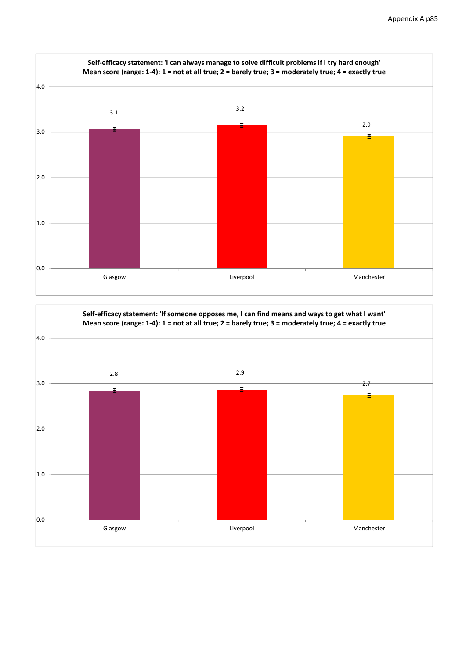

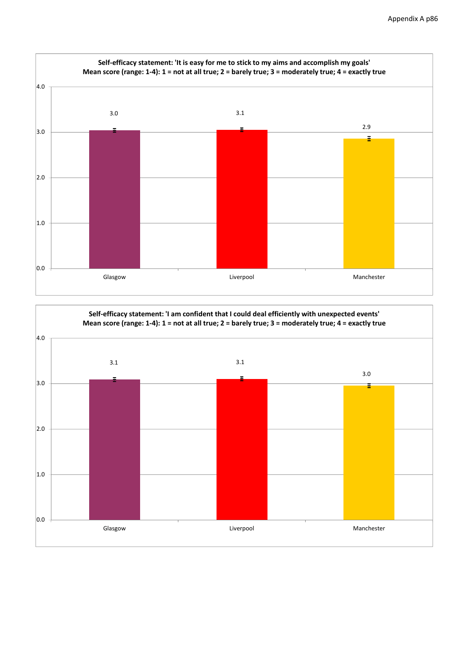

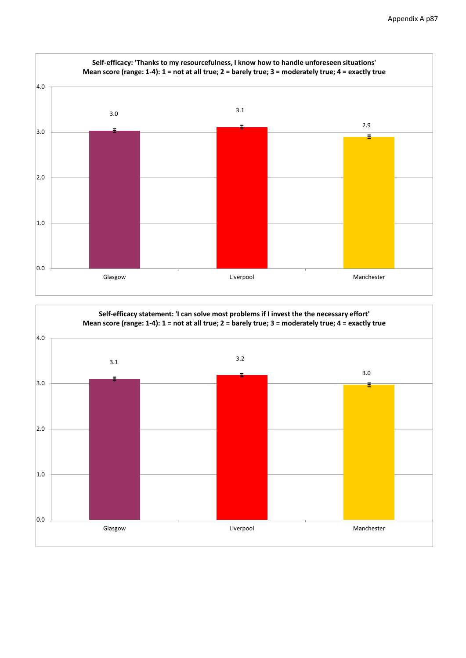

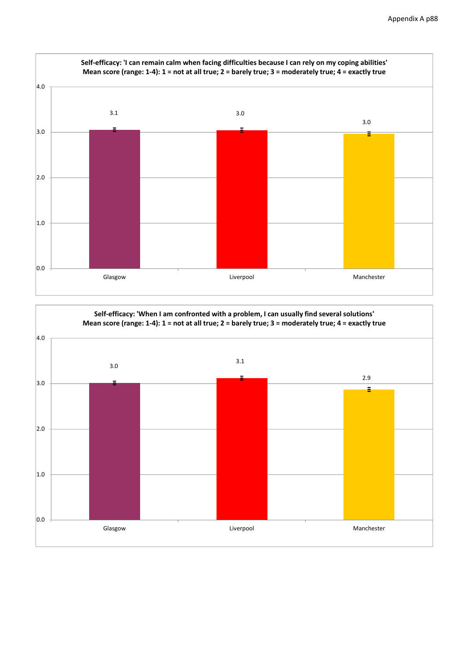

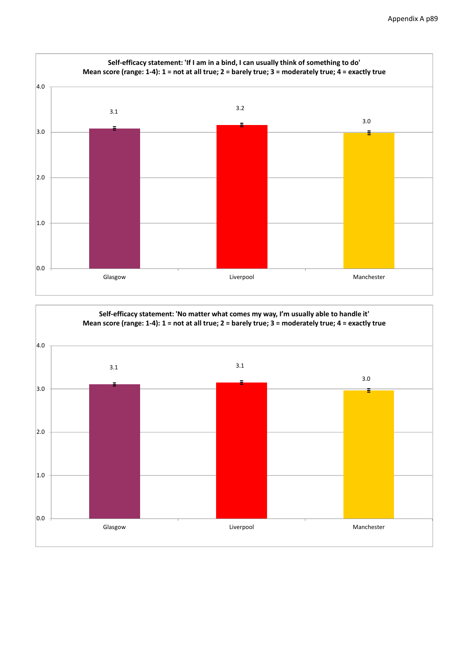

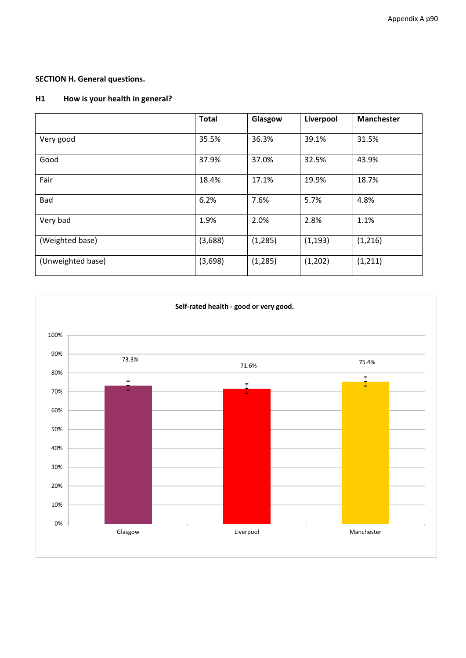## **SECTION H. General questions.**

### **H1 How is your health in general?**

|                   | <b>Total</b> | Glasgow  | Liverpool | <b>Manchester</b> |
|-------------------|--------------|----------|-----------|-------------------|
| Very good         | 35.5%        | 36.3%    | 39.1%     | 31.5%             |
| Good              | 37.9%        | 37.0%    | 32.5%     | 43.9%             |
| Fair              | 18.4%        | 17.1%    | 19.9%     | 18.7%             |
| Bad               | 6.2%         | 7.6%     | 5.7%      | 4.8%              |
| Very bad          | 1.9%         | 2.0%     | 2.8%      | 1.1%              |
| (Weighted base)   | (3,688)      | (1, 285) | (1, 193)  | (1,216)           |
| (Unweighted base) | (3,698)      | (1, 285) | (1,202)   | (1, 211)          |

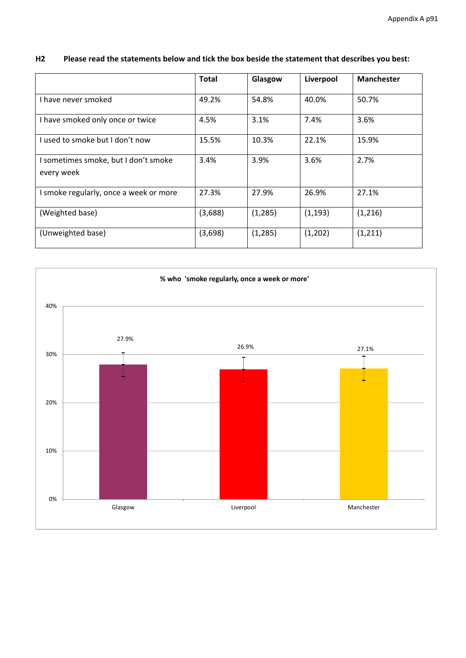| H2 | Please read the statements below and tick the box beside the statement that describes you best: |
|----|-------------------------------------------------------------------------------------------------|
|----|-------------------------------------------------------------------------------------------------|

|                                                    | <b>Total</b> | Glasgow  | Liverpool | <b>Manchester</b> |
|----------------------------------------------------|--------------|----------|-----------|-------------------|
| I have never smoked                                | 49.2%        | 54.8%    | 40.0%     | 50.7%             |
| I have smoked only once or twice                   | 4.5%         | 3.1%     | 7.4%      | 3.6%              |
| Lused to smoke but Ldon't now                      | 15.5%        | 10.3%    | 22.1%     | 15.9%             |
| I sometimes smoke, but I don't smoke<br>every week | 3.4%         | 3.9%     | 3.6%      | 2.7%              |
| I smoke regularly, once a week or more             | 27.3%        | 27.9%    | 26.9%     | 27.1%             |
| (Weighted base)                                    | (3,688)      | (1, 285) | (1, 193)  | (1,216)           |
| (Unweighted base)                                  | (3,698)      | (1, 285) | (1,202)   | (1, 211)          |

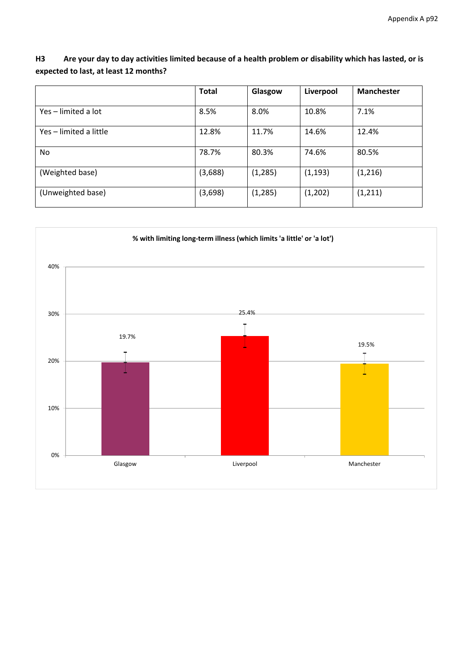## H3 Are your day to day activities limited because of a health problem or disability which has lasted, or is **expected to last, at least 12 months?**

|                        | <b>Total</b> | Glasgow  | Liverpool | <b>Manchester</b> |
|------------------------|--------------|----------|-----------|-------------------|
| Yes - limited a lot    | 8.5%         | 8.0%     | 10.8%     | 7.1%              |
| Yes - limited a little | 12.8%        | 11.7%    | 14.6%     | 12.4%             |
| No.                    | 78.7%        | 80.3%    | 74.6%     | 80.5%             |
| (Weighted base)        | (3,688)      | (1, 285) | (1, 193)  | (1, 216)          |
| (Unweighted base)      | (3,698)      | (1, 285) | (1,202)   | (1, 211)          |

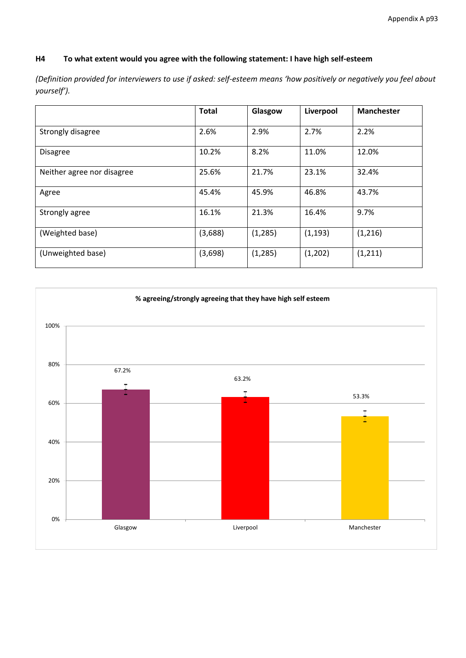## **H4 To what extent would you agree with the following statement: I have high self‐esteem**

(Definition provided for interviewers to use if asked: self-esteem means 'how positively or negatively you feel about *yourself').*

|                            | <b>Total</b> | Glasgow  | Liverpool | <b>Manchester</b> |
|----------------------------|--------------|----------|-----------|-------------------|
| Strongly disagree          | 2.6%         | 2.9%     | 2.7%      | 2.2%              |
| <b>Disagree</b>            | 10.2%        | 8.2%     | 11.0%     | 12.0%             |
| Neither agree nor disagree | 25.6%        | 21.7%    | 23.1%     | 32.4%             |
| Agree                      | 45.4%        | 45.9%    | 46.8%     | 43.7%             |
| Strongly agree             | 16.1%        | 21.3%    | 16.4%     | 9.7%              |
| (Weighted base)            | (3,688)      | (1, 285) | (1, 193)  | (1,216)           |
| (Unweighted base)          | (3,698)      | (1, 285) | (1,202)   | (1, 211)          |

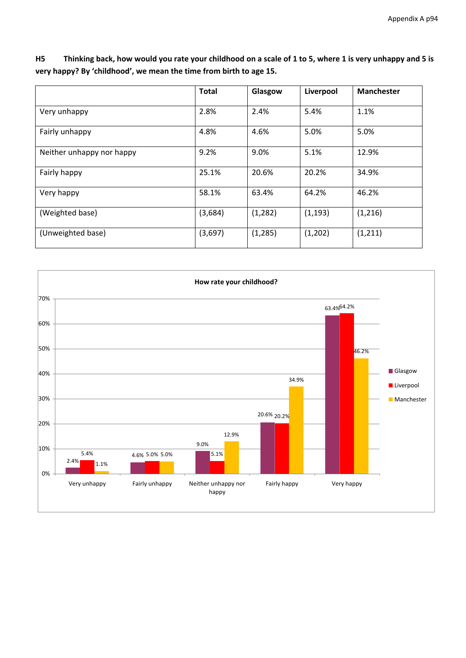H5 Thinking back, how would you rate your childhood on a scale of 1 to 5, where 1 is very unhappy and 5 is **very happy? By 'childhood', we mean the time from birth to age 15.**

|                           | <b>Total</b> | Glasgow  | Liverpool | <b>Manchester</b> |
|---------------------------|--------------|----------|-----------|-------------------|
| Very unhappy              | 2.8%         | 2.4%     | 5.4%      | 1.1%              |
| Fairly unhappy            | 4.8%         | 4.6%     | 5.0%      | 5.0%              |
| Neither unhappy nor happy | 9.2%         | 9.0%     | 5.1%      | 12.9%             |
| Fairly happy              | 25.1%        | 20.6%    | 20.2%     | 34.9%             |
| Very happy                | 58.1%        | 63.4%    | 64.2%     | 46.2%             |
| (Weighted base)           | (3,684)      | (1, 282) | (1, 193)  | (1, 216)          |
| (Unweighted base)         | (3,697)      | (1, 285) | (1,202)   | (1, 211)          |

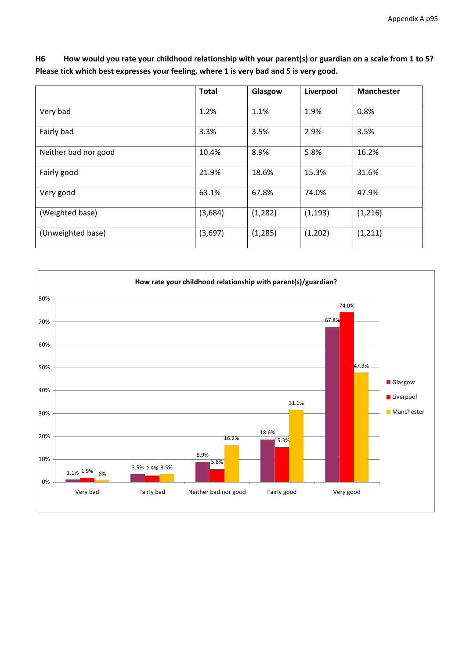H6 How would you rate your childhood relationship with your parent(s) or guardian on a scale from 1 to 5? **Please tick which best expresses your feeling, where 1 is very bad and 5 is very good.**

|                      | <b>Total</b> | Glasgow  | Liverpool | <b>Manchester</b> |
|----------------------|--------------|----------|-----------|-------------------|
| Very bad             | 1.2%         | 1.1%     | 1.9%      | 0.8%              |
| Fairly bad           | 3.3%         | 3.5%     | 2.9%      | 3.5%              |
| Neither bad nor good | 10.4%        | 8.9%     | 5.8%      | 16.2%             |
| Fairly good          | 21.9%        | 18.6%    | 15.3%     | 31.6%             |
| Very good            | 63.1%        | 67.8%    | 74.0%     | 47.9%             |
| (Weighted base)      | (3,684)      | (1, 282) | (1, 193)  | (1,216)           |
| (Unweighted base)    | (3,697)      | (1, 285) | (1,202)   | (1, 211)          |

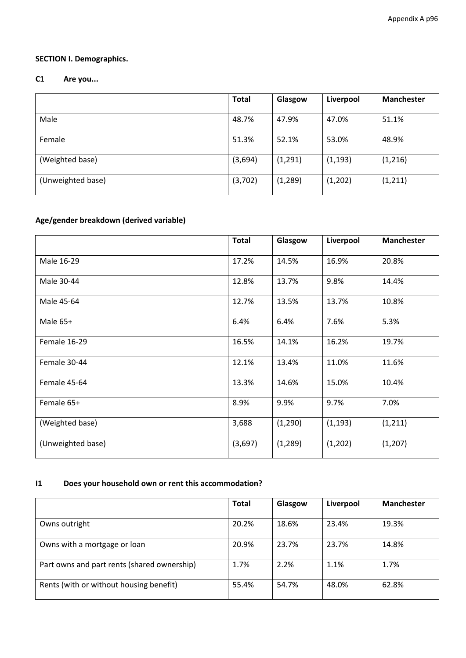## **SECTION I. Demographics.**

### **C1 Are you...**

|                   | <b>Total</b> | Glasgow  | Liverpool | <b>Manchester</b> |
|-------------------|--------------|----------|-----------|-------------------|
| Male              | 48.7%        | 47.9%    | 47.0%     | 51.1%             |
| Female            | 51.3%        | 52.1%    | 53.0%     | 48.9%             |
| (Weighted base)   | (3,694)      | (1, 291) | (1, 193)  | (1, 216)          |
| (Unweighted base) | (3,702)      | (1, 289) | (1,202)   | (1, 211)          |

# **Age/gender breakdown (derived variable)**

|                   | <b>Total</b> | Glasgow  | Liverpool | <b>Manchester</b> |
|-------------------|--------------|----------|-----------|-------------------|
| Male 16-29        | 17.2%        | 14.5%    | 16.9%     | 20.8%             |
| Male 30-44        | 12.8%        | 13.7%    | 9.8%      | 14.4%             |
| Male 45-64        | 12.7%        | 13.5%    | 13.7%     | 10.8%             |
| Male 65+          | 6.4%         | 6.4%     | 7.6%      | 5.3%              |
| Female 16-29      | 16.5%        | 14.1%    | 16.2%     | 19.7%             |
| Female 30-44      | 12.1%        | 13.4%    | 11.0%     | 11.6%             |
| Female 45-64      | 13.3%        | 14.6%    | 15.0%     | 10.4%             |
| Female 65+        | 8.9%         | 9.9%     | 9.7%      | 7.0%              |
| (Weighted base)   | 3,688        | (1, 290) | (1, 193)  | (1, 211)          |
| (Unweighted base) | (3,697)      | (1, 289) | (1,202)   | (1, 207)          |

### **I1 Does your household own or rent this accommodation?**

|                                             | <b>Total</b> | Glasgow | Liverpool | <b>Manchester</b> |
|---------------------------------------------|--------------|---------|-----------|-------------------|
|                                             |              |         |           |                   |
| Owns outright                               | 20.2%        | 18.6%   | 23.4%     | 19.3%             |
| Owns with a mortgage or loan                | 20.9%        | 23.7%   | 23.7%     | 14.8%             |
| Part owns and part rents (shared ownership) | 1.7%         | 2.2%    | 1.1%      | 1.7%              |
| Rents (with or without housing benefit)     | 55.4%        | 54.7%   | 48.0%     | 62.8%             |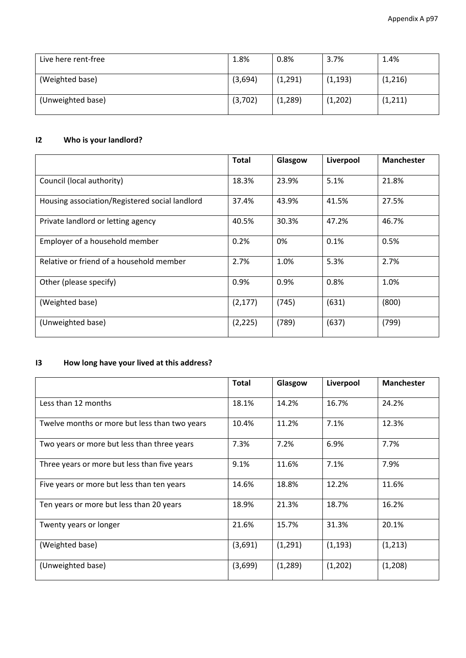| Live here rent-free | 1.8%    | 0.8%     | 3.7%     | 1.4%     |
|---------------------|---------|----------|----------|----------|
| (Weighted base)     | (3,694) | (1, 291) | (1, 193) | (1,216)  |
| (Unweighted base)   | (3,702) | (1, 289) | (1,202)  | (1, 211) |

## **I2 Who is your landlord?**

|                                                | <b>Total</b> | Glasgow | Liverpool | <b>Manchester</b> |
|------------------------------------------------|--------------|---------|-----------|-------------------|
| Council (local authority)                      | 18.3%        | 23.9%   | 5.1%      | 21.8%             |
| Housing association/Registered social landlord | 37.4%        | 43.9%   | 41.5%     | 27.5%             |
| Private landlord or letting agency             | 40.5%        | 30.3%   | 47.2%     | 46.7%             |
| Employer of a household member                 | 0.2%         | 0%      | 0.1%      | 0.5%              |
| Relative or friend of a household member       | 2.7%         | 1.0%    | 5.3%      | 2.7%              |
| Other (please specify)                         | 0.9%         | 0.9%    | 0.8%      | 1.0%              |
| (Weighted base)                                | (2, 177)     | (745)   | (631)     | (800)             |
| (Unweighted base)                              | (2, 225)     | (789)   | (637)     | (799)             |

## **I3 How long have your lived at this address?**

|                                               | <b>Total</b> | Glasgow  | Liverpool | <b>Manchester</b> |
|-----------------------------------------------|--------------|----------|-----------|-------------------|
| Less than 12 months                           | 18.1%        | 14.2%    | 16.7%     | 24.2%             |
| Twelve months or more but less than two years | 10.4%        | 11.2%    | 7.1%      | 12.3%             |
| Two years or more but less than three years   | 7.3%         | 7.2%     | 6.9%      | 7.7%              |
| Three years or more but less than five years  | 9.1%         | 11.6%    | 7.1%      | 7.9%              |
| Five years or more but less than ten years    | 14.6%        | 18.8%    | 12.2%     | 11.6%             |
| Ten years or more but less than 20 years      | 18.9%        | 21.3%    | 18.7%     | 16.2%             |
| Twenty years or longer                        | 21.6%        | 15.7%    | 31.3%     | 20.1%             |
| (Weighted base)                               | (3,691)      | (1,291)  | (1, 193)  | (1, 213)          |
| (Unweighted base)                             | (3,699)      | (1, 289) | (1,202)   | (1,208)           |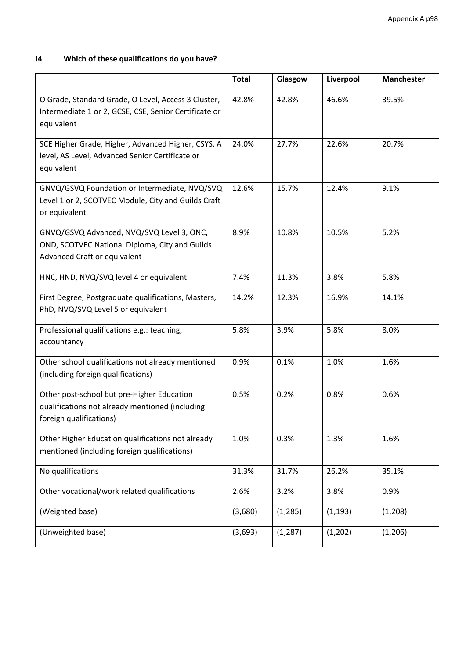# **I4 Which of these qualifications do you have?**

|                                                                                                                             | <b>Total</b> | Glasgow  | Liverpool | <b>Manchester</b> |
|-----------------------------------------------------------------------------------------------------------------------------|--------------|----------|-----------|-------------------|
| O Grade, Standard Grade, O Level, Access 3 Cluster,<br>Intermediate 1 or 2, GCSE, CSE, Senior Certificate or<br>equivalent  | 42.8%        | 42.8%    | 46.6%     | 39.5%             |
| SCE Higher Grade, Higher, Advanced Higher, CSYS, A<br>level, AS Level, Advanced Senior Certificate or<br>equivalent         | 24.0%        | 27.7%    | 22.6%     | 20.7%             |
| GNVQ/GSVQ Foundation or Intermediate, NVQ/SVQ<br>Level 1 or 2, SCOTVEC Module, City and Guilds Craft<br>or equivalent       | 12.6%        | 15.7%    | 12.4%     | 9.1%              |
| GNVQ/GSVQ Advanced, NVQ/SVQ Level 3, ONC,<br>OND, SCOTVEC National Diploma, City and Guilds<br>Advanced Craft or equivalent | 8.9%         | 10.8%    | 10.5%     | 5.2%              |
| HNC, HND, NVQ/SVQ level 4 or equivalent                                                                                     | 7.4%         | 11.3%    | 3.8%      | 5.8%              |
| First Degree, Postgraduate qualifications, Masters,<br>PhD, NVQ/SVQ Level 5 or equivalent                                   | 14.2%        | 12.3%    | 16.9%     | 14.1%             |
| Professional qualifications e.g.: teaching,<br>accountancy                                                                  | 5.8%         | 3.9%     | 5.8%      | 8.0%              |
| Other school qualifications not already mentioned<br>(including foreign qualifications)                                     | 0.9%         | 0.1%     | 1.0%      | 1.6%              |
| Other post-school but pre-Higher Education<br>qualifications not already mentioned (including<br>foreign qualifications)    | 0.5%         | 0.2%     | 0.8%      | 0.6%              |
| Other Higher Education qualifications not already<br>mentioned (including foreign qualifications)                           | 1.0%         | 0.3%     | 1.3%      | 1.6%              |
| No qualifications                                                                                                           | 31.3%        | 31.7%    | 26.2%     | 35.1%             |
| Other vocational/work related qualifications                                                                                | 2.6%         | 3.2%     | 3.8%      | 0.9%              |
| (Weighted base)                                                                                                             | (3,680)      | (1, 285) | (1, 193)  | (1, 208)          |
| (Unweighted base)                                                                                                           | (3,693)      | (1, 287) | (1,202)   | (1, 206)          |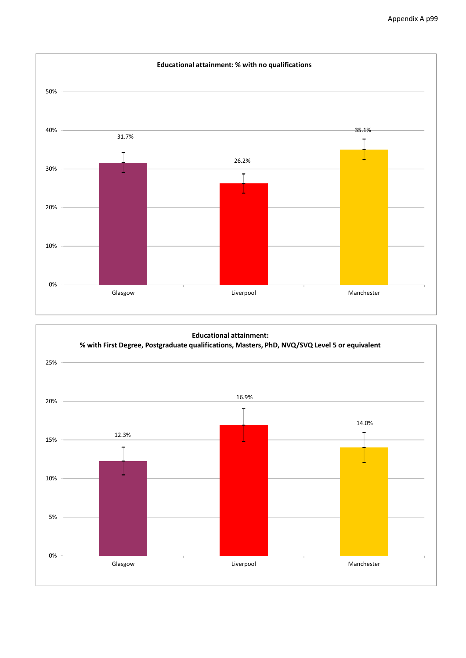

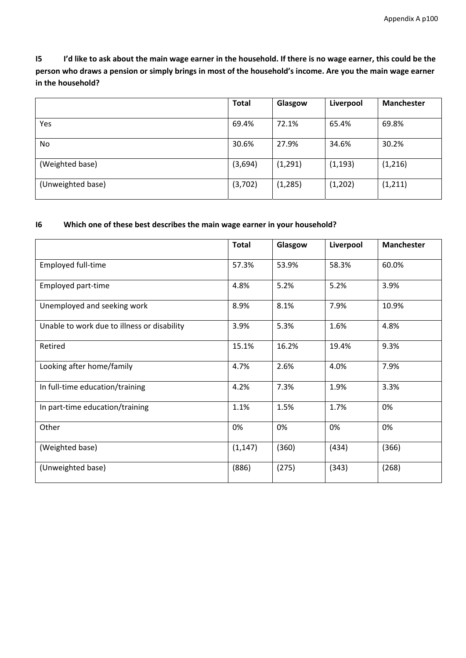I5 I'd like to ask about the main wage earner in the household. If there is no wage earner, this could be the person who draws a pension or simply brings in most of the household's income. Are you the main wage earner **in the household?**

|                   | <b>Total</b> | Glasgow  | Liverpool | <b>Manchester</b> |
|-------------------|--------------|----------|-----------|-------------------|
|                   |              |          |           |                   |
| Yes               | 69.4%        | 72.1%    | 65.4%     | 69.8%             |
| No.               | 30.6%        | 27.9%    | 34.6%     | 30.2%             |
| (Weighted base)   | (3,694)      | (1, 291) | (1, 193)  | (1,216)           |
| (Unweighted base) | (3,702)      | (1, 285) | (1, 202)  | (1, 211)          |

#### **I6 Which one of these best describes the main wage earner in your household?**

|                                             | <b>Total</b> | Glasgow | Liverpool | <b>Manchester</b> |
|---------------------------------------------|--------------|---------|-----------|-------------------|
| Employed full-time                          | 57.3%        | 53.9%   | 58.3%     | 60.0%             |
| Employed part-time                          | 4.8%         | 5.2%    | 5.2%      | 3.9%              |
| Unemployed and seeking work                 | 8.9%         | 8.1%    | 7.9%      | 10.9%             |
| Unable to work due to illness or disability | 3.9%         | 5.3%    | 1.6%      | 4.8%              |
| Retired                                     | 15.1%        | 16.2%   | 19.4%     | 9.3%              |
| Looking after home/family                   | 4.7%         | 2.6%    | 4.0%      | 7.9%              |
| In full-time education/training             | 4.2%         | 7.3%    | 1.9%      | 3.3%              |
| In part-time education/training             | 1.1%         | 1.5%    | 1.7%      | 0%                |
| Other                                       | 0%           | 0%      | 0%        | 0%                |
| (Weighted base)                             | (1, 147)     | (360)   | (434)     | (366)             |
| (Unweighted base)                           | (886)        | (275)   | (343)     | (268)             |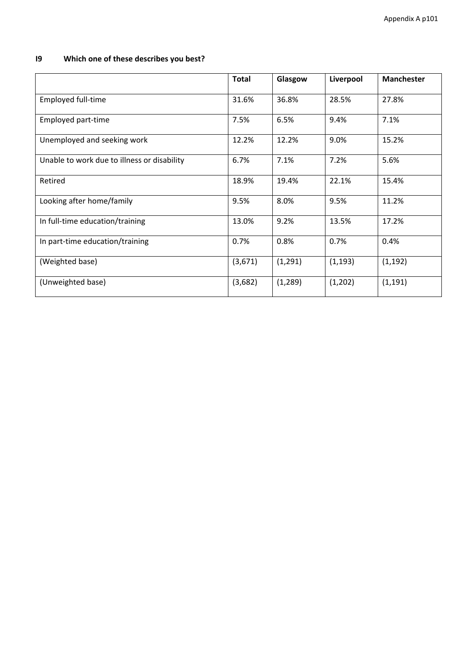# **I9 Which one of these describes you best?**

|                                             | <b>Total</b> | Glasgow  | Liverpool | <b>Manchester</b> |
|---------------------------------------------|--------------|----------|-----------|-------------------|
| <b>Employed full-time</b>                   | 31.6%        | 36.8%    | 28.5%     | 27.8%             |
| Employed part-time                          | 7.5%         | 6.5%     | 9.4%      | 7.1%              |
| Unemployed and seeking work                 | 12.2%        | 12.2%    | 9.0%      | 15.2%             |
| Unable to work due to illness or disability | 6.7%         | 7.1%     | 7.2%      | 5.6%              |
| Retired                                     | 18.9%        | 19.4%    | 22.1%     | 15.4%             |
| Looking after home/family                   | 9.5%         | 8.0%     | 9.5%      | 11.2%             |
| In full-time education/training             | 13.0%        | 9.2%     | 13.5%     | 17.2%             |
| In part-time education/training             | 0.7%         | 0.8%     | 0.7%      | 0.4%              |
| (Weighted base)                             | (3,671)      | (1, 291) | (1, 193)  | (1, 192)          |
| (Unweighted base)                           | (3,682)      | (1, 289) | (1,202)   | (1, 191)          |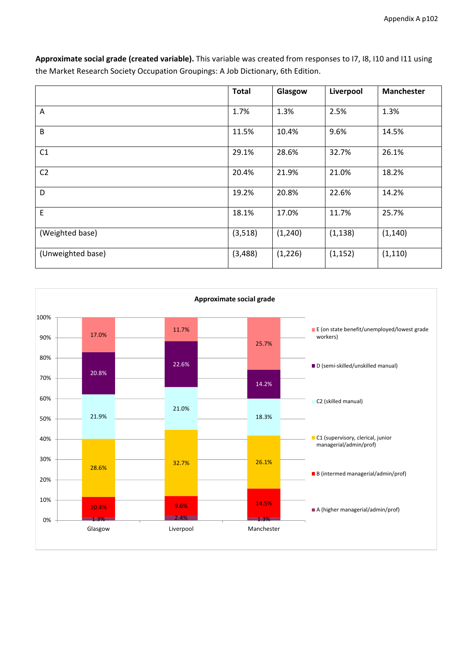|                   | <b>Total</b> | Glasgow  | Liverpool | <b>Manchester</b> |
|-------------------|--------------|----------|-----------|-------------------|
| Α                 | 1.7%         | 1.3%     | 2.5%      | 1.3%              |
| B                 | 11.5%        | 10.4%    | 9.6%      | 14.5%             |
| C1                | 29.1%        | 28.6%    | 32.7%     | 26.1%             |
| C <sub>2</sub>    | 20.4%        | 21.9%    | 21.0%     | 18.2%             |
| D                 | 19.2%        | 20.8%    | 22.6%     | 14.2%             |
| E                 | 18.1%        | 17.0%    | 11.7%     | 25.7%             |
| (Weighted base)   | (3,518)      | (1, 240) | (1, 138)  | (1, 140)          |
| (Unweighted base) | (3,488)      | (1, 226) | (1, 152)  | (1, 110)          |

**Approximate social grade (created variable).** This variable was created from responses to I7, I8, I10 and I11 using the Market Research Society Occupation Groupings: A Job Dictionary, 6th Edition.

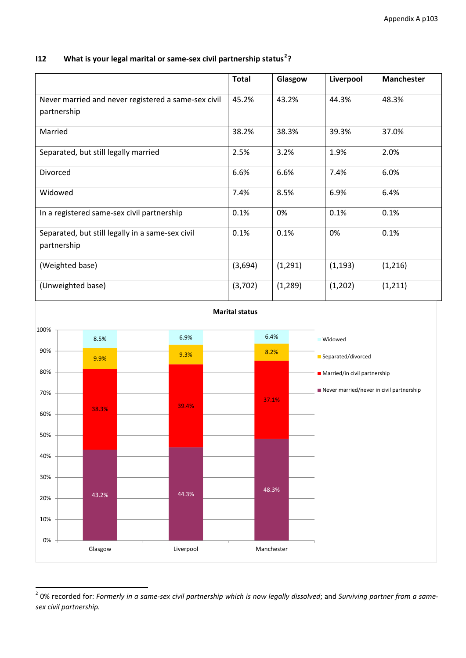### **I12 What is your legal marital or same‐sex civil partnership status[2](#page-102-0) ?**

|                                                                    | <b>Total</b> | Glasgow  | Liverpool | <b>Manchester</b> |
|--------------------------------------------------------------------|--------------|----------|-----------|-------------------|
| Never married and never registered a same-sex civil<br>partnership | 45.2%        | 43.2%    | 44.3%     | 48.3%             |
| Married                                                            | 38.2%        | 38.3%    | 39.3%     | 37.0%             |
| Separated, but still legally married                               | 2.5%         | 3.2%     | 1.9%      | 2.0%              |
| Divorced                                                           | 6.6%         | 6.6%     | 7.4%      | 6.0%              |
| Widowed                                                            | 7.4%         | 8.5%     | 6.9%      | 6.4%              |
| In a registered same-sex civil partnership                         | 0.1%         | 0%       | 0.1%      | 0.1%              |
| Separated, but still legally in a same-sex civil<br>partnership    | 0.1%         | 0.1%     | 0%        | 0.1%              |
| (Weighted base)                                                    | (3,694)      | (1, 291) | (1, 193)  | (1,216)           |
| (Unweighted base)                                                  | (3,702)      | (1, 289) | (1,202)   | (1, 211)          |



<span id="page-102-0"></span> $^2$  0% recorded for: Formerly in a same-sex civil partnership which is now legally dissolved; and Surviving partner from a same*sex civil partnership.*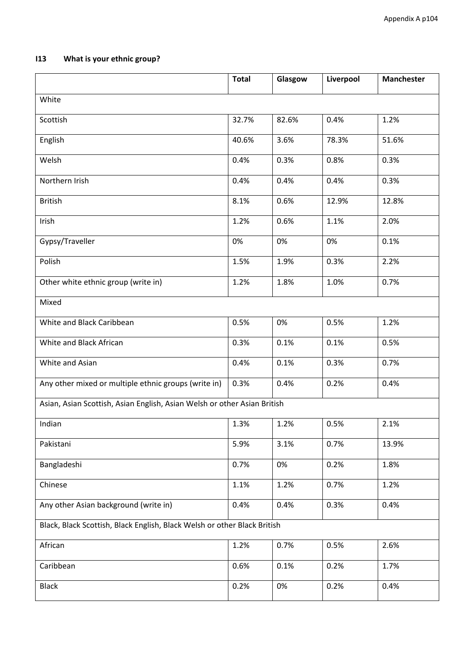# **I13 What is your ethnic group?**

|                                                                          | <b>Total</b> | Glasgow | Liverpool | <b>Manchester</b> |
|--------------------------------------------------------------------------|--------------|---------|-----------|-------------------|
| White                                                                    |              |         |           |                   |
| Scottish                                                                 | 32.7%        | 82.6%   | 0.4%      | 1.2%              |
| English                                                                  | 40.6%        | 3.6%    | 78.3%     | 51.6%             |
| Welsh                                                                    | 0.4%         | 0.3%    | 0.8%      | 0.3%              |
| Northern Irish                                                           | 0.4%         | 0.4%    | 0.4%      | 0.3%              |
| <b>British</b>                                                           | 8.1%         | 0.6%    | 12.9%     | 12.8%             |
| Irish                                                                    | 1.2%         | 0.6%    | 1.1%      | 2.0%              |
| Gypsy/Traveller                                                          | 0%           | 0%      | 0%        | 0.1%              |
| Polish                                                                   | 1.5%         | 1.9%    | 0.3%      | 2.2%              |
| Other white ethnic group (write in)                                      | 1.2%         | 1.8%    | 1.0%      | 0.7%              |
| Mixed                                                                    |              |         |           |                   |
| White and Black Caribbean                                                | 0.5%         | 0%      | 0.5%      | 1.2%              |
| White and Black African                                                  | 0.3%         | 0.1%    | 0.1%      | 0.5%              |
| White and Asian                                                          | 0.4%         | 0.1%    | 0.3%      | 0.7%              |
| Any other mixed or multiple ethnic groups (write in)                     | 0.3%         | 0.4%    | 0.2%      | 0.4%              |
| Asian, Asian Scottish, Asian English, Asian Welsh or other Asian British |              |         |           |                   |
| Indian                                                                   | 1.3%         | 1.2%    | 0.5%      | 2.1%              |
| Pakistani                                                                | 5.9%         | 3.1%    | 0.7%      | 13.9%             |
| Bangladeshi                                                              | 0.7%         | 0%      | 0.2%      | 1.8%              |
| Chinese                                                                  | 1.1%         | 1.2%    | 0.7%      | 1.2%              |
| Any other Asian background (write in)                                    | 0.4%         | 0.4%    | 0.3%      | 0.4%              |
| Black, Black Scottish, Black English, Black Welsh or other Black British |              |         |           |                   |
| African                                                                  | 1.2%         | 0.7%    | 0.5%      | 2.6%              |
| Caribbean                                                                | 0.6%         | 0.1%    | 0.2%      | 1.7%              |
| <b>Black</b>                                                             | 0.2%         | 0%      | 0.2%      | 0.4%              |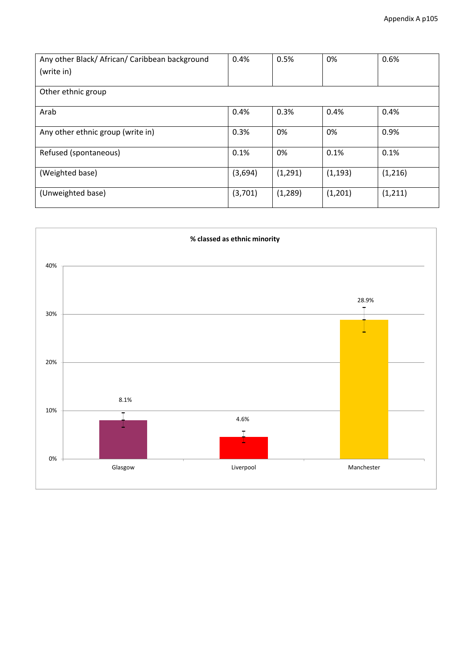| Any other Black/African/Caribbean background | 0.4%    | 0.5%     | 0%       | 0.6%     |
|----------------------------------------------|---------|----------|----------|----------|
| (write in)                                   |         |          |          |          |
|                                              |         |          |          |          |
| Other ethnic group                           |         |          |          |          |
|                                              |         |          |          |          |
| Arab                                         | 0.4%    | 0.3%     | 0.4%     | 0.4%     |
| Any other ethnic group (write in)            | 0.3%    | 0%       | 0%       | 0.9%     |
|                                              |         |          |          |          |
| Refused (spontaneous)                        | 0.1%    | 0%       | 0.1%     | 0.1%     |
|                                              |         |          |          |          |
| (Weighted base)                              | (3,694) | (1, 291) | (1, 193) | (1, 216) |
|                                              |         |          |          |          |
| (Unweighted base)                            | (3,701) | (1, 289) | (1,201)  | (1, 211) |
|                                              |         |          |          |          |

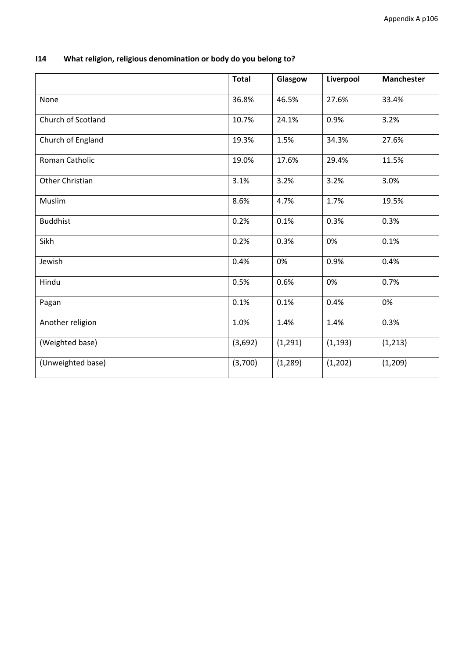| What religion, religious denomination or body do you belong to?<br>114 |  |
|------------------------------------------------------------------------|--|
|------------------------------------------------------------------------|--|

|                    | <b>Total</b> | Glasgow  | Liverpool | <b>Manchester</b> |
|--------------------|--------------|----------|-----------|-------------------|
| None               | 36.8%        | 46.5%    | 27.6%     | 33.4%             |
| Church of Scotland | 10.7%        | 24.1%    | 0.9%      | 3.2%              |
| Church of England  | 19.3%        | 1.5%     | 34.3%     | 27.6%             |
| Roman Catholic     | 19.0%        | 17.6%    | 29.4%     | 11.5%             |
| Other Christian    | 3.1%         | 3.2%     | 3.2%      | 3.0%              |
| Muslim             | 8.6%         | 4.7%     | 1.7%      | 19.5%             |
| <b>Buddhist</b>    | 0.2%         | 0.1%     | 0.3%      | 0.3%              |
| Sikh               | 0.2%         | 0.3%     | 0%        | 0.1%              |
| Jewish             | 0.4%         | 0%       | 0.9%      | 0.4%              |
| Hindu              | 0.5%         | 0.6%     | 0%        | 0.7%              |
| Pagan              | 0.1%         | 0.1%     | 0.4%      | 0%                |
| Another religion   | 1.0%         | 1.4%     | 1.4%      | 0.3%              |
| (Weighted base)    | (3,692)      | (1, 291) | (1, 193)  | (1, 213)          |
| (Unweighted base)  | (3,700)      | (1, 289) | (1, 202)  | (1, 209)          |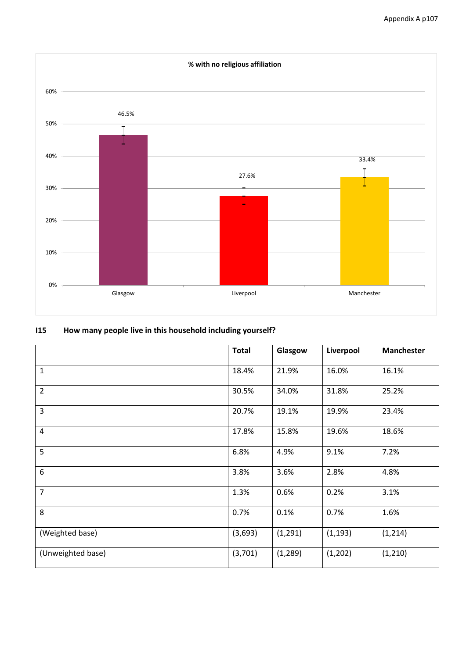

## **I15 How many people live in this household including yourself?**

|                   | <b>Total</b> | Glasgow  | Liverpool | <b>Manchester</b> |
|-------------------|--------------|----------|-----------|-------------------|
| $\mathbf{1}$      | 18.4%        | 21.9%    | 16.0%     | 16.1%             |
| $\overline{2}$    | 30.5%        | 34.0%    | 31.8%     | 25.2%             |
| 3                 | 20.7%        | 19.1%    | 19.9%     | 23.4%             |
| $\overline{4}$    | 17.8%        | 15.8%    | 19.6%     | 18.6%             |
| 5                 | 6.8%         | 4.9%     | 9.1%      | 7.2%              |
| 6                 | 3.8%         | 3.6%     | 2.8%      | 4.8%              |
| $\overline{7}$    | 1.3%         | 0.6%     | 0.2%      | 3.1%              |
| 8                 | 0.7%         | 0.1%     | 0.7%      | 1.6%              |
| (Weighted base)   | (3,693)      | (1, 291) | (1, 193)  | (1, 214)          |
| (Unweighted base) | (3,701)      | (1, 289) | (1, 202)  | (1, 210)          |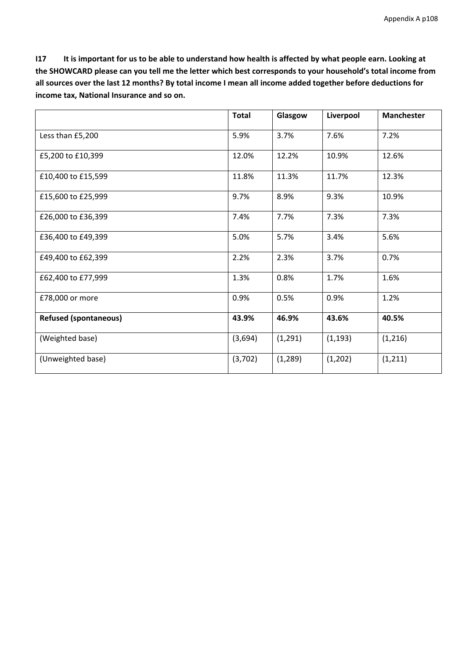I17 It is important for us to be able to understand how health is affected by what people earn. Looking at the SHOWCARD please can you tell me the letter which best corresponds to your household's total income from all sources over the last 12 months? By total income I mean all income added together before deductions for **income tax, National Insurance and so on.**

|                              | <b>Total</b> | Glasgow  | Liverpool | <b>Manchester</b> |
|------------------------------|--------------|----------|-----------|-------------------|
| Less than £5,200             | 5.9%         | 3.7%     | 7.6%      | 7.2%              |
| £5,200 to £10,399            | 12.0%        | 12.2%    | 10.9%     | 12.6%             |
| £10,400 to £15,599           | 11.8%        | 11.3%    | 11.7%     | 12.3%             |
| £15,600 to £25,999           | 9.7%         | 8.9%     | 9.3%      | 10.9%             |
| £26,000 to £36,399           | 7.4%         | 7.7%     | 7.3%      | 7.3%              |
| £36,400 to £49,399           | 5.0%         | 5.7%     | 3.4%      | 5.6%              |
| £49,400 to £62,399           | 2.2%         | 2.3%     | 3.7%      | 0.7%              |
| £62,400 to £77,999           | 1.3%         | 0.8%     | 1.7%      | 1.6%              |
| £78,000 or more              | 0.9%         | 0.5%     | 0.9%      | 1.2%              |
| <b>Refused (spontaneous)</b> | 43.9%        | 46.9%    | 43.6%     | 40.5%             |
| (Weighted base)              | (3,694)      | (1, 291) | (1, 193)  | (1,216)           |
| (Unweighted base)            | (3,702)      | (1, 289) | (1,202)   | (1, 211)          |